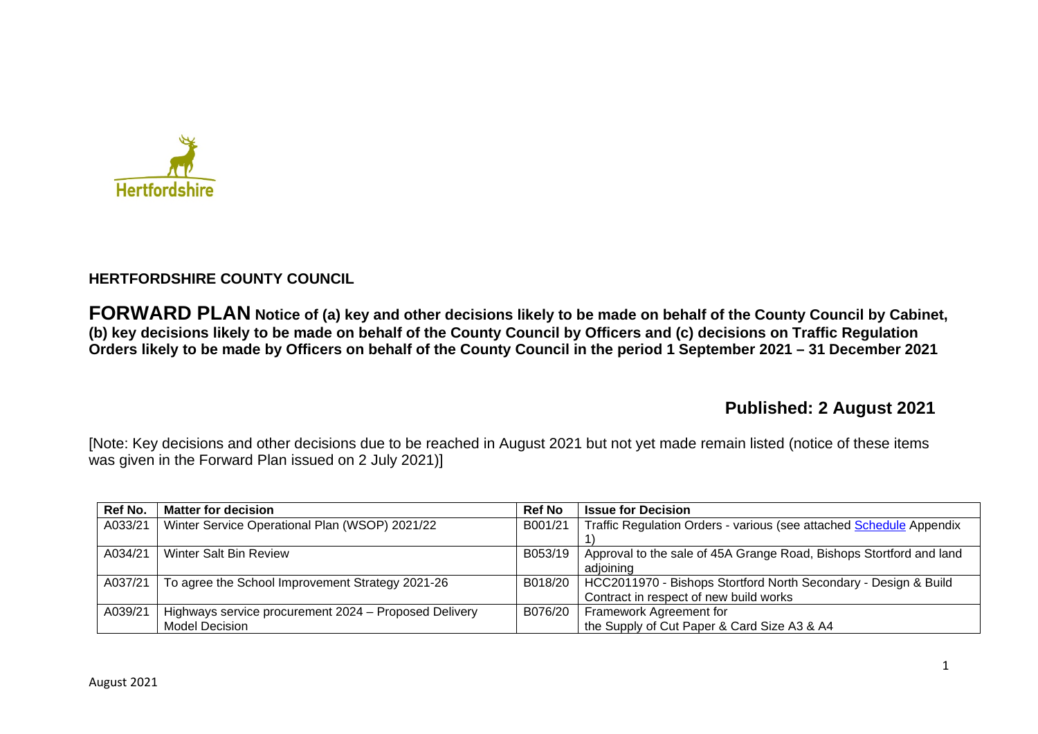

# **HERTFORDSHIRE COUNTY COUNCIL**

**FORWARD PLAN Notice of (a) key and other decisions likely to be made on behalf of the County Council by Cabinet, (b) key decisions likely to be made on behalf of the County Council by Officers and (c) decisions on Traffic Regulation Orders likely to be made by Officers on behalf of the County Council in the period 1 September 2021 – 31 December 2021** 

# **Published: 2 August 2021**

[Note: Key decisions and other decisions due to be reached in August 2021 but not yet made remain listed (notice of these items was given in the Forward Plan issued on 2 July 2021)]

| Ref No. | <b>Matter for decision</b>                            | <b>Ref No</b> | <b>Issue for Decision</b>                                           |
|---------|-------------------------------------------------------|---------------|---------------------------------------------------------------------|
| A033/21 | Winter Service Operational Plan (WSOP) 2021/22        | B001/21       | Traffic Regulation Orders - various (see attached Schedule Appendix |
|         |                                                       |               |                                                                     |
| A034/21 | <b>Winter Salt Bin Review</b>                         | B053/19       | Approval to the sale of 45A Grange Road, Bishops Stortford and land |
|         |                                                       |               | adioining                                                           |
| A037/21 | To agree the School Improvement Strategy 2021-26      | B018/20       | HCC2011970 - Bishops Stortford North Secondary - Design & Build     |
|         |                                                       |               | Contract in respect of new build works                              |
| A039/21 | Highways service procurement 2024 - Proposed Delivery | B076/20       | Framework Agreement for                                             |
|         | <b>Model Decision</b>                                 |               | the Supply of Cut Paper & Card Size A3 & A4                         |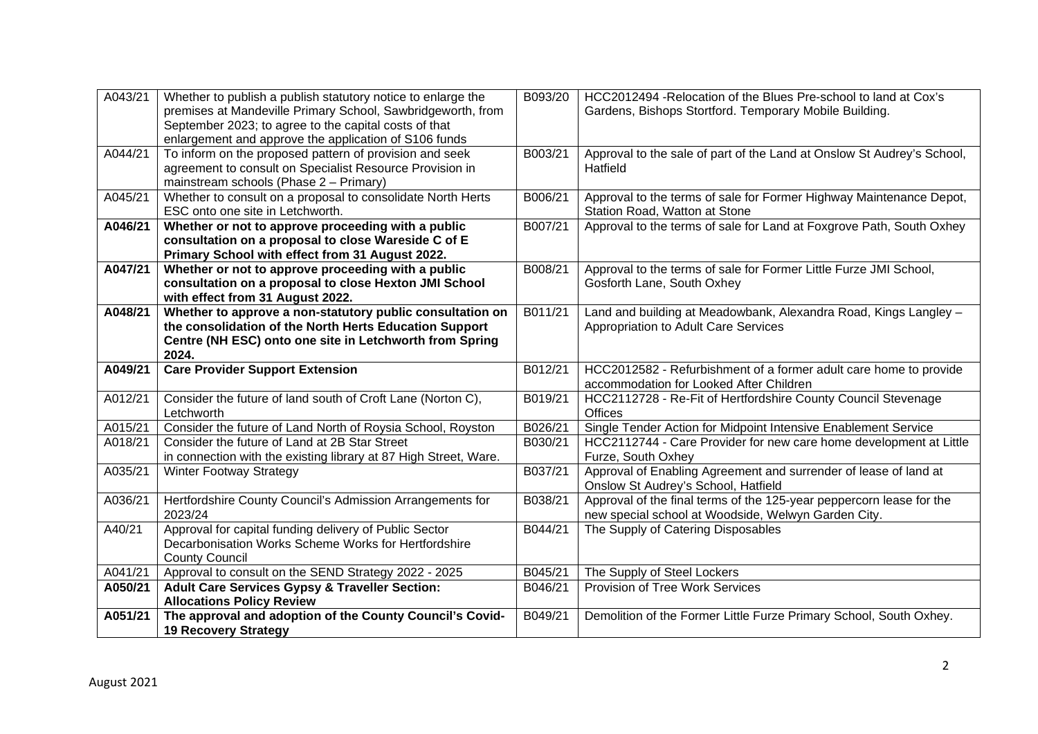| A043/21            | Whether to publish a publish statutory notice to enlarge the<br>premises at Mandeville Primary School, Sawbridgeworth, from<br>September 2023; to agree to the capital costs of that<br>enlargement and approve the application of S106 funds | B093/20            | HCC2012494 - Relocation of the Blues Pre-school to land at Cox's<br>Gardens, Bishops Stortford. Temporary Mobile Building.  |
|--------------------|-----------------------------------------------------------------------------------------------------------------------------------------------------------------------------------------------------------------------------------------------|--------------------|-----------------------------------------------------------------------------------------------------------------------------|
| A044/21            | To inform on the proposed pattern of provision and seek<br>agreement to consult on Specialist Resource Provision in<br>mainstream schools (Phase 2 - Primary)                                                                                 | B003/21            | Approval to the sale of part of the Land at Onslow St Audrey's School,<br>Hatfield                                          |
| A045/21            | Whether to consult on a proposal to consolidate North Herts<br>ESC onto one site in Letchworth.                                                                                                                                               | B006/21            | Approval to the terms of sale for Former Highway Maintenance Depot,<br>Station Road, Watton at Stone                        |
| A046/21            | Whether or not to approve proceeding with a public<br>consultation on a proposal to close Wareside C of E<br>Primary School with effect from 31 August 2022.                                                                                  | B007/21            | Approval to the terms of sale for Land at Foxgrove Path, South Oxhey                                                        |
| A047/21            | Whether or not to approve proceeding with a public<br>consultation on a proposal to close Hexton JMI School<br>with effect from 31 August 2022.                                                                                               | B008/21            | Approval to the terms of sale for Former Little Furze JMI School,<br>Gosforth Lane, South Oxhey                             |
| A048/21            | Whether to approve a non-statutory public consultation on<br>the consolidation of the North Herts Education Support<br>Centre (NH ESC) onto one site in Letchworth from Spring<br>2024.                                                       | B011/21            | Land and building at Meadowbank, Alexandra Road, Kings Langley -<br>Appropriation to Adult Care Services                    |
|                    |                                                                                                                                                                                                                                               |                    |                                                                                                                             |
| A049/21            | <b>Care Provider Support Extension</b>                                                                                                                                                                                                        | B012/21            | HCC2012582 - Refurbishment of a former adult care home to provide<br>accommodation for Looked After Children                |
| A012/21            | Consider the future of land south of Croft Lane (Norton C),<br>Letchworth                                                                                                                                                                     | B019/21            | HCC2112728 - Re-Fit of Hertfordshire County Council Stevenage<br><b>Offices</b>                                             |
| A015/21            | Consider the future of Land North of Roysia School, Royston                                                                                                                                                                                   | B026/21            | Single Tender Action for Midpoint Intensive Enablement Service                                                              |
| A018/21            | Consider the future of Land at 2B Star Street<br>in connection with the existing library at 87 High Street, Ware.                                                                                                                             | B030/21            | HCC2112744 - Care Provider for new care home development at Little<br>Furze, South Oxhey                                    |
| A035/21            | <b>Winter Footway Strategy</b>                                                                                                                                                                                                                | B037/21            | Approval of Enabling Agreement and surrender of lease of land at<br>Onslow St Audrey's School, Hatfield                     |
| A036/21            | Hertfordshire County Council's Admission Arrangements for<br>2023/24                                                                                                                                                                          | B038/21            | Approval of the final terms of the 125-year peppercorn lease for the<br>new special school at Woodside, Welwyn Garden City. |
| A40/21             | Approval for capital funding delivery of Public Sector<br>Decarbonisation Works Scheme Works for Hertfordshire<br><b>County Council</b>                                                                                                       | B044/21            | The Supply of Catering Disposables                                                                                          |
| A041/21            | Approval to consult on the SEND Strategy 2022 - 2025                                                                                                                                                                                          | B045/21            | The Supply of Steel Lockers                                                                                                 |
| A050/21<br>A051/21 | <b>Adult Care Services Gypsy &amp; Traveller Section:</b><br><b>Allocations Policy Review</b><br>The approval and adoption of the County Council's Covid-                                                                                     | B046/21<br>B049/21 | Provision of Tree Work Services<br>Demolition of the Former Little Furze Primary School, South Oxhey.                       |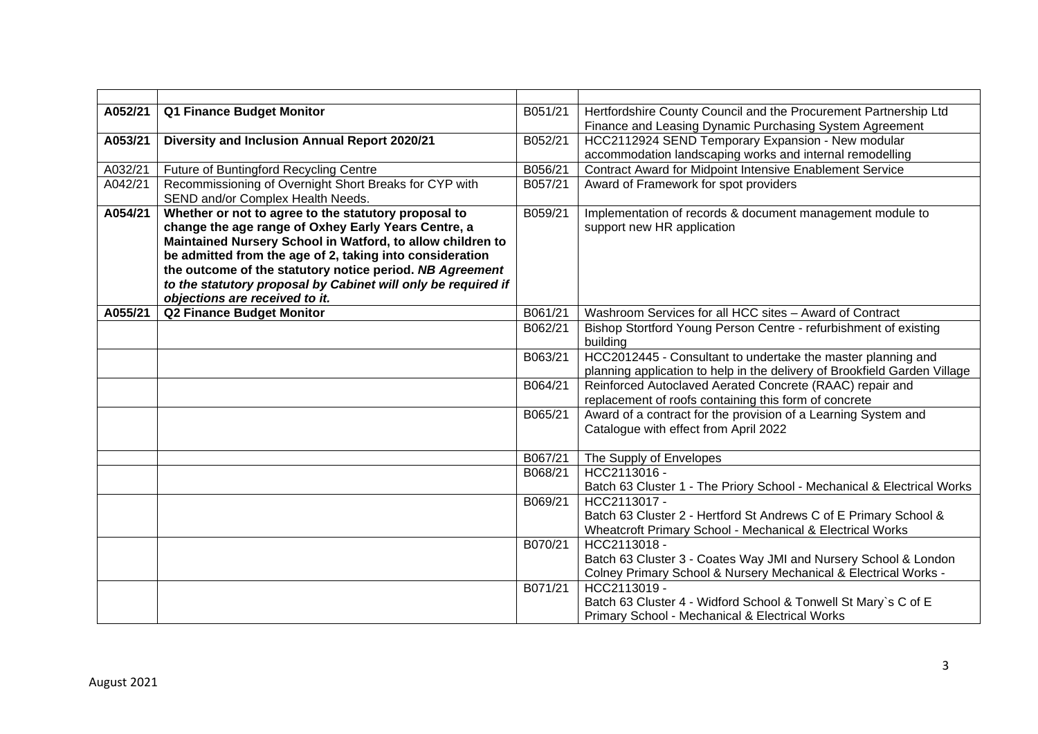| A052/21 | Q1 Finance Budget Monitor                                     | B051/21 | Hertfordshire County Council and the Procurement Partnership Ltd          |
|---------|---------------------------------------------------------------|---------|---------------------------------------------------------------------------|
|         |                                                               |         | Finance and Leasing Dynamic Purchasing System Agreement                   |
| A053/21 | Diversity and Inclusion Annual Report 2020/21                 | B052/21 | HCC2112924 SEND Temporary Expansion - New modular                         |
|         |                                                               |         | accommodation landscaping works and internal remodelling                  |
| A032/21 | Future of Buntingford Recycling Centre                        | B056/21 | <b>Contract Award for Midpoint Intensive Enablement Service</b>           |
| A042/21 | Recommissioning of Overnight Short Breaks for CYP with        | B057/21 | Award of Framework for spot providers                                     |
|         | SEND and/or Complex Health Needs.                             |         |                                                                           |
| A054/21 | Whether or not to agree to the statutory proposal to          | B059/21 | Implementation of records & document management module to                 |
|         | change the age range of Oxhey Early Years Centre, a           |         | support new HR application                                                |
|         | Maintained Nursery School in Watford, to allow children to    |         |                                                                           |
|         | be admitted from the age of 2, taking into consideration      |         |                                                                           |
|         | the outcome of the statutory notice period. NB Agreement      |         |                                                                           |
|         | to the statutory proposal by Cabinet will only be required if |         |                                                                           |
|         | objections are received to it.                                |         |                                                                           |
| A055/21 | <b>Q2 Finance Budget Monitor</b>                              | B061/21 | Washroom Services for all HCC sites - Award of Contract                   |
|         |                                                               | B062/21 | Bishop Stortford Young Person Centre - refurbishment of existing          |
|         |                                                               |         | building                                                                  |
|         |                                                               | B063/21 | HCC2012445 - Consultant to undertake the master planning and              |
|         |                                                               |         | planning application to help in the delivery of Brookfield Garden Village |
|         |                                                               | B064/21 | Reinforced Autoclaved Aerated Concrete (RAAC) repair and                  |
|         |                                                               |         | replacement of roofs containing this form of concrete                     |
|         |                                                               | B065/21 | Award of a contract for the provision of a Learning System and            |
|         |                                                               |         | Catalogue with effect from April 2022                                     |
|         |                                                               | B067/21 | The Supply of Envelopes                                                   |
|         |                                                               | B068/21 | HCC2113016 -                                                              |
|         |                                                               |         | Batch 63 Cluster 1 - The Priory School - Mechanical & Electrical Works    |
|         |                                                               | B069/21 | HCC2113017 -                                                              |
|         |                                                               |         | Batch 63 Cluster 2 - Hertford St Andrews C of E Primary School &          |
|         |                                                               |         | Wheatcroft Primary School - Mechanical & Electrical Works                 |
|         |                                                               | B070/21 | HCC2113018 -                                                              |
|         |                                                               |         | Batch 63 Cluster 3 - Coates Way JMI and Nursery School & London           |
|         |                                                               |         | Colney Primary School & Nursery Mechanical & Electrical Works -           |
|         |                                                               | B071/21 | HCC2113019 -                                                              |
|         |                                                               |         | Batch 63 Cluster 4 - Widford School & Tonwell St Mary's C of E            |
|         |                                                               |         | Primary School - Mechanical & Electrical Works                            |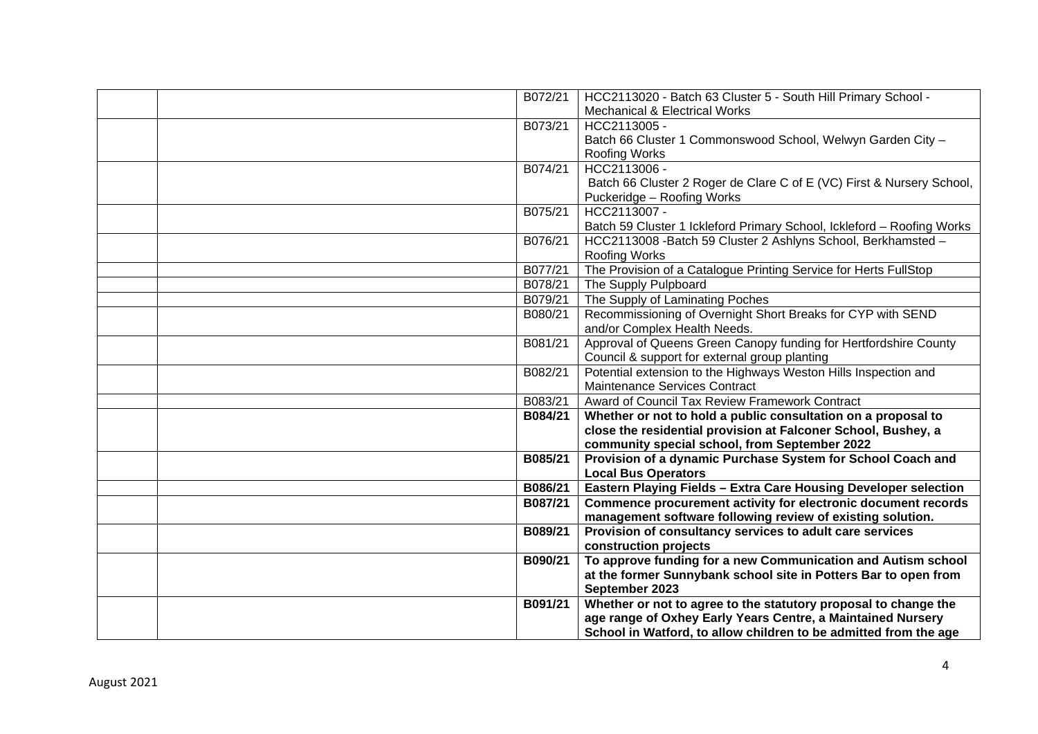| B072/21 | HCC2113020 - Batch 63 Cluster 5 - South Hill Primary School -          |
|---------|------------------------------------------------------------------------|
|         | <b>Mechanical &amp; Electrical Works</b>                               |
| B073/21 | HCC2113005 -                                                           |
|         | Batch 66 Cluster 1 Commonswood School, Welwyn Garden City -            |
|         | Roofing Works                                                          |
| B074/21 | HCC2113006 -                                                           |
|         | Batch 66 Cluster 2 Roger de Clare C of E (VC) First & Nursery School,  |
|         | Puckeridge - Roofing Works                                             |
| B075/21 | HCC2113007 -                                                           |
|         | Batch 59 Cluster 1 Ickleford Primary School, Ickleford - Roofing Works |
| B076/21 | HCC2113008 - Batch 59 Cluster 2 Ashlyns School, Berkhamsted -          |
|         | <b>Roofing Works</b>                                                   |
| B077/21 | The Provision of a Catalogue Printing Service for Herts FullStop       |
| B078/21 | The Supply Pulpboard                                                   |
| B079/21 | The Supply of Laminating Poches                                        |
| B080/21 | Recommissioning of Overnight Short Breaks for CYP with SEND            |
|         | and/or Complex Health Needs.                                           |
| B081/21 | Approval of Queens Green Canopy funding for Hertfordshire County       |
|         | Council & support for external group planting                          |
| B082/21 | Potential extension to the Highways Weston Hills Inspection and        |
|         | Maintenance Services Contract                                          |
| B083/21 | Award of Council Tax Review Framework Contract                         |
| B084/21 | Whether or not to hold a public consultation on a proposal to          |
|         | close the residential provision at Falconer School, Bushey, a          |
|         | community special school, from September 2022                          |
| B085/21 | Provision of a dynamic Purchase System for School Coach and            |
|         | <b>Local Bus Operators</b>                                             |
| B086/21 | Eastern Playing Fields - Extra Care Housing Developer selection        |
| B087/21 | Commence procurement activity for electronic document records          |
|         | management software following review of existing solution.             |
| B089/21 | Provision of consultancy services to adult care services               |
|         | construction projects                                                  |
| B090/21 | To approve funding for a new Communication and Autism school           |
|         | at the former Sunnybank school site in Potters Bar to open from        |
|         | September 2023                                                         |
| B091/21 | Whether or not to agree to the statutory proposal to change the        |
|         | age range of Oxhey Early Years Centre, a Maintained Nursery            |
|         | School in Watford, to allow children to be admitted from the age       |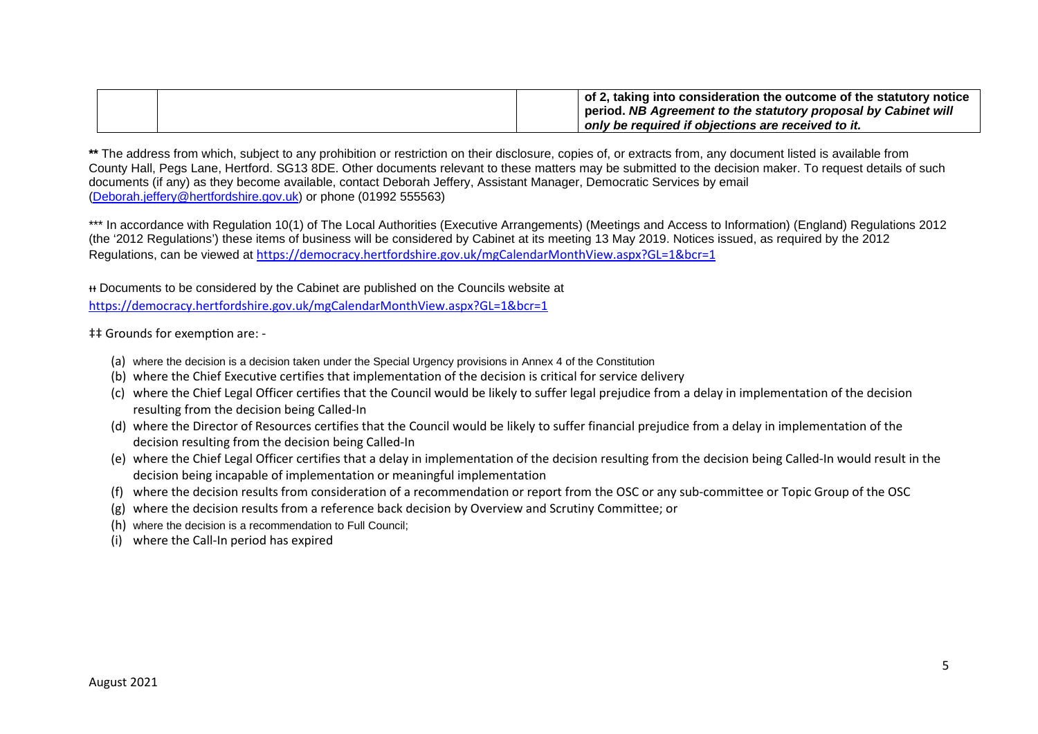|  | $\mid$ of 2, taking into consideration the outcome of the statutory notice<br>period. NB Agreement to the statutory proposal by Cabinet will |
|--|----------------------------------------------------------------------------------------------------------------------------------------------|
|  | only be required if objections are received to it.                                                                                           |

**\*\*** The address from which, subject to any prohibition or restriction on their disclosure, copies of, or extracts from, any document listed is available from County Hall, Pegs Lane, Hertford. SG13 8DE. Other documents relevant to these matters may be submitted to the decision maker. To request details of such documents (if any) as they become available, contact Deborah Jeffery, Assistant Manager, Democratic Services by email (Deborah.jeffery@hertfordshire.gov.uk) or phone (01992 555563)

\*\*\* In accordance with Regulation 10(1) of The Local Authorities (Executive Arrangements) (Meetings and Access to Information) (England) Regulations 2012 (the '2012 Regulations') these items of business will be considered by Cabinet at its meeting 13 May 2019. Notices issued, as required by the 2012 Regulations, can be viewed at https://democracy.hertfordshire.gov.uk/mgCalendarMonthView.aspx?GL=1&bcr=1

ᵻᵻ Documents to be considered by the Cabinet are published on the Councils website at https://democracy.hertfordshire.gov.uk/mgCalendarMonthView.aspx?GL=1&bcr=1

 $\ddagger$ ‡ Grounds for exemption are: -

- (a) where the decision is a decision taken under the Special Urgency provisions in Annex 4 of the Constitution
- (b) where the Chief Executive certifies that implementation of the decision is critical for service delivery
- (c) where the Chief Legal Officer certifies that the Council would be likely to suffer legal prejudice from a delay in implementation of the decision resulting from the decision being Called-In
- (d) where the Director of Resources certifies that the Council would be likely to suffer financial prejudice from a delay in implementation of the decision resulting from the decision being Called-In
- (e) where the Chief Legal Officer certifies that a delay in implementation of the decision resulting from the decision being Called-In would result in the decision being incapable of implementation or meaningful implementation
- (f) where the decision results from consideration of a recommendation or report from the OSC or any sub-committee or Topic Group of the OSC
- (g) where the decision results from a reference back decision by Overview and Scrutiny Committee; or
- (h) where the decision is a recommendation to Full Council;
- (i) where the Call-In period has expired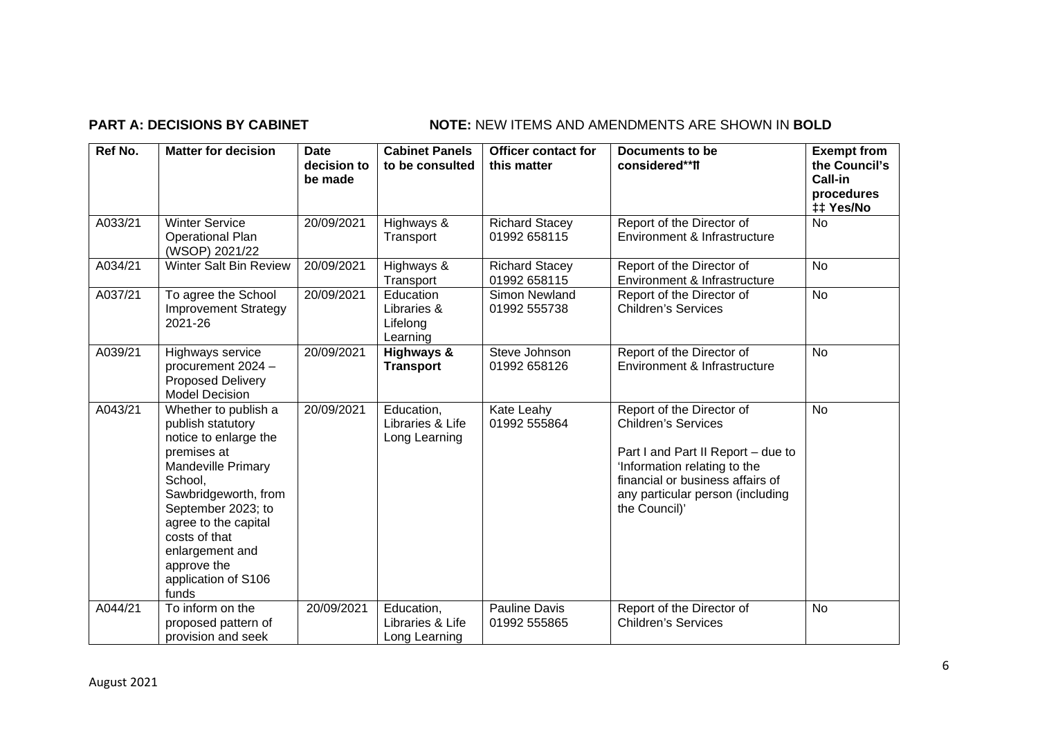# **PART A: DECISIONS BY CABINET NOTE:** NEW ITEMS AND AMENDMENTS ARE SHOWN IN BOLD

| Ref No. | <b>Matter for decision</b>                                                                                                                                                                                                                                                         | <b>Date</b><br>decision to<br>be made | <b>Cabinet Panels</b><br>to be consulted         | <b>Officer contact for</b><br>this matter | Documents to be<br>considered**ff                                                                                                                                                                                      | <b>Exempt from</b><br>the Council's<br>Call-in<br>procedures<br>‡‡ Yes/No |
|---------|------------------------------------------------------------------------------------------------------------------------------------------------------------------------------------------------------------------------------------------------------------------------------------|---------------------------------------|--------------------------------------------------|-------------------------------------------|------------------------------------------------------------------------------------------------------------------------------------------------------------------------------------------------------------------------|---------------------------------------------------------------------------|
| A033/21 | <b>Winter Service</b><br><b>Operational Plan</b><br>(WSOP) 2021/22                                                                                                                                                                                                                 | 20/09/2021                            | Highways &<br>Transport                          | <b>Richard Stacey</b><br>01992 658115     | Report of the Director of<br>Environment & Infrastructure                                                                                                                                                              | <b>No</b>                                                                 |
| A034/21 | Winter Salt Bin Review                                                                                                                                                                                                                                                             | 20/09/2021                            | Highways &<br>Transport                          | <b>Richard Stacey</b><br>01992 658115     | Report of the Director of<br>Environment & Infrastructure                                                                                                                                                              | <b>No</b>                                                                 |
| A037/21 | To agree the School<br><b>Improvement Strategy</b><br>2021-26                                                                                                                                                                                                                      | 20/09/2021                            | Education<br>Libraries &<br>Lifelong<br>Learning | Simon Newland<br>01992 555738             | Report of the Director of<br><b>Children's Services</b>                                                                                                                                                                | <b>No</b>                                                                 |
| A039/21 | Highways service<br>procurement 2024 -<br><b>Proposed Delivery</b><br><b>Model Decision</b>                                                                                                                                                                                        | 20/09/2021                            | Highways &<br><b>Transport</b>                   | Steve Johnson<br>01992 658126             | Report of the Director of<br>Environment & Infrastructure                                                                                                                                                              | <b>No</b>                                                                 |
| A043/21 | Whether to publish a<br>publish statutory<br>notice to enlarge the<br>premises at<br><b>Mandeville Primary</b><br>School,<br>Sawbridgeworth, from<br>September 2023; to<br>agree to the capital<br>costs of that<br>enlargement and<br>approve the<br>application of S106<br>funds | 20/09/2021                            | Education,<br>Libraries & Life<br>Long Learning  | Kate Leahy<br>01992 555864                | Report of the Director of<br><b>Children's Services</b><br>Part I and Part II Report - due to<br>'Information relating to the<br>financial or business affairs of<br>any particular person (including<br>the Council)' | <b>No</b>                                                                 |
| A044/21 | To inform on the<br>proposed pattern of<br>provision and seek                                                                                                                                                                                                                      | 20/09/2021                            | Education,<br>Libraries & Life<br>Long Learning  | Pauline Davis<br>01992 555865             | Report of the Director of<br><b>Children's Services</b>                                                                                                                                                                | <b>No</b>                                                                 |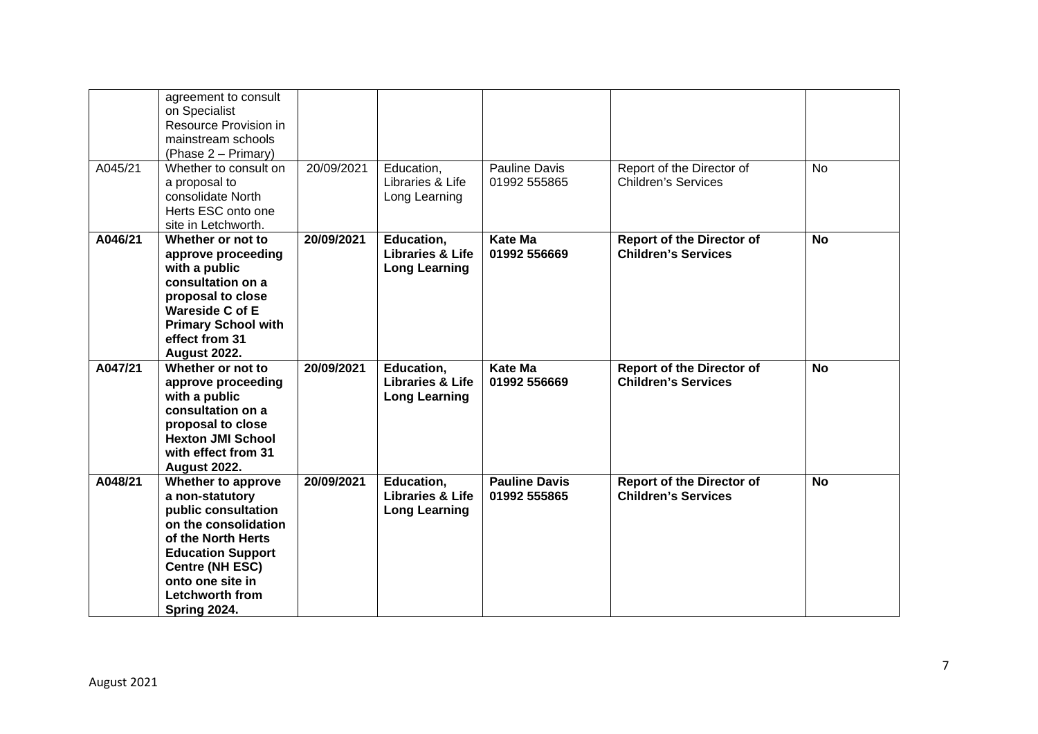|         | agreement to consult<br>on Specialist<br>Resource Provision in<br>mainstream schools<br>(Phase 2 – Primary)                                                                                                             |            |                                                                   |                                      |                                                                |           |
|---------|-------------------------------------------------------------------------------------------------------------------------------------------------------------------------------------------------------------------------|------------|-------------------------------------------------------------------|--------------------------------------|----------------------------------------------------------------|-----------|
| A045/21 | Whether to consult on<br>a proposal to<br>consolidate North<br>Herts ESC onto one<br>site in Letchworth.                                                                                                                | 20/09/2021 | Education,<br>Libraries & Life<br>Long Learning                   | Pauline Davis<br>01992 555865        | Report of the Director of<br><b>Children's Services</b>        | <b>No</b> |
| A046/21 | Whether or not to<br>approve proceeding<br>with a public<br>consultation on a<br>proposal to close<br><b>Wareside C of E</b><br><b>Primary School with</b><br>effect from 31<br><b>August 2022.</b>                     | 20/09/2021 | Education,<br><b>Libraries &amp; Life</b><br><b>Long Learning</b> | <b>Kate Ma</b><br>01992 556669       | <b>Report of the Director of</b><br><b>Children's Services</b> | <b>No</b> |
| A047/21 | Whether or not to<br>approve proceeding<br>with a public<br>consultation on a<br>proposal to close<br><b>Hexton JMI School</b><br>with effect from 31<br><b>August 2022.</b>                                            | 20/09/2021 | Education,<br><b>Libraries &amp; Life</b><br><b>Long Learning</b> | Kate Ma<br>01992 556669              | <b>Report of the Director of</b><br><b>Children's Services</b> | <b>No</b> |
| A048/21 | Whether to approve<br>a non-statutory<br>public consultation<br>on the consolidation<br>of the North Herts<br><b>Education Support</b><br><b>Centre (NH ESC)</b><br>onto one site in<br>Letchworth from<br>Spring 2024. | 20/09/2021 | Education,<br><b>Libraries &amp; Life</b><br><b>Long Learning</b> | <b>Pauline Davis</b><br>01992 555865 | <b>Report of the Director of</b><br><b>Children's Services</b> | <b>No</b> |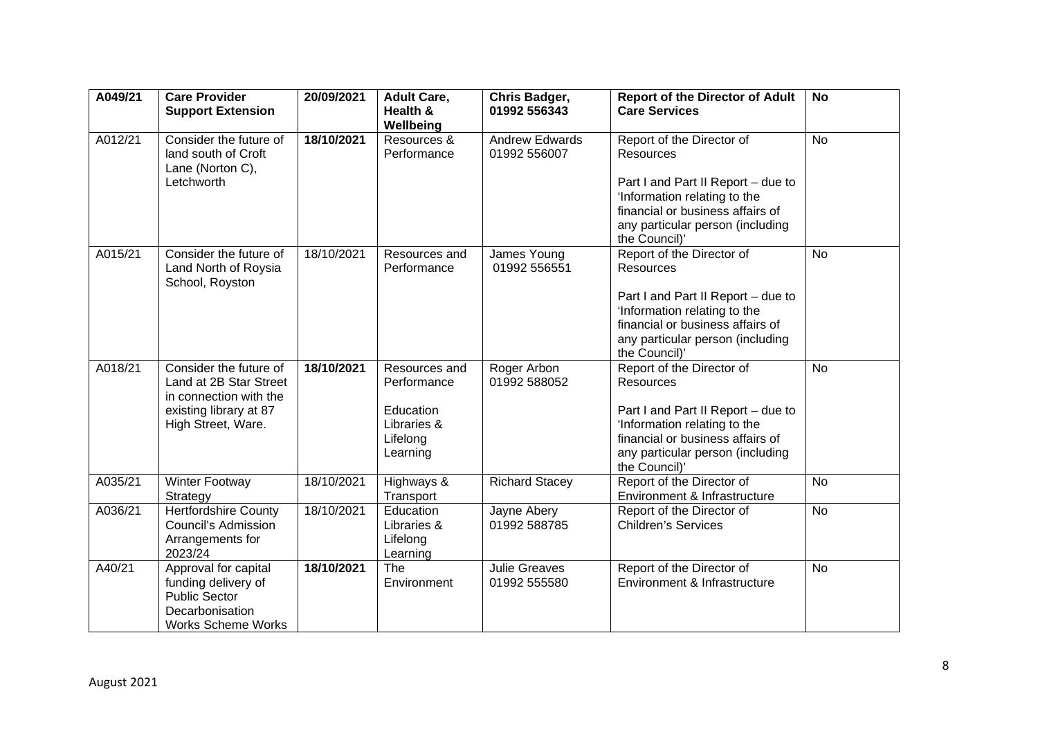| A049/21 | <b>Care Provider</b><br><b>Support Extension</b>                                                                           | 20/09/2021 | <b>Adult Care,</b><br>Health &<br>Wellbeing                                      | Chris Badger,<br>01992 556343         | <b>Report of the Director of Adult</b><br><b>Care Services</b>                                                                                                                                               | <b>No</b> |
|---------|----------------------------------------------------------------------------------------------------------------------------|------------|----------------------------------------------------------------------------------|---------------------------------------|--------------------------------------------------------------------------------------------------------------------------------------------------------------------------------------------------------------|-----------|
| A012/21 | Consider the future of<br>land south of Croft<br>Lane (Norton C),<br>Letchworth                                            | 18/10/2021 | Resources &<br>Performance                                                       | <b>Andrew Edwards</b><br>01992 556007 | Report of the Director of<br><b>Resources</b><br>Part I and Part II Report - due to<br>'Information relating to the<br>financial or business affairs of<br>any particular person (including<br>the Council)' | <b>No</b> |
| A015/21 | Consider the future of<br>Land North of Roysia<br>School, Royston                                                          | 18/10/2021 | Resources and<br>Performance                                                     | James Young<br>01992 556551           | Report of the Director of<br><b>Resources</b><br>Part I and Part II Report - due to<br>'Information relating to the<br>financial or business affairs of<br>any particular person (including<br>the Council)' | <b>No</b> |
| A018/21 | Consider the future of<br>Land at 2B Star Street<br>in connection with the<br>existing library at 87<br>High Street, Ware. | 18/10/2021 | Resources and<br>Performance<br>Education<br>Libraries &<br>Lifelong<br>Learning | Roger Arbon<br>01992 588052           | Report of the Director of<br><b>Resources</b><br>Part I and Part II Report - due to<br>'Information relating to the<br>financial or business affairs of<br>any particular person (including<br>the Council)' | <b>No</b> |
| A035/21 | Winter Footway<br>Strategy                                                                                                 | 18/10/2021 | Highways &<br>Transport                                                          | <b>Richard Stacey</b>                 | Report of the Director of<br>Environment & Infrastructure                                                                                                                                                    | <b>No</b> |
| A036/21 | <b>Hertfordshire County</b><br><b>Council's Admission</b><br>Arrangements for<br>2023/24                                   | 18/10/2021 | Education<br>Libraries &<br>Lifelong<br>Learning                                 | Jayne Abery<br>01992 588785           | Report of the Director of<br><b>Children's Services</b>                                                                                                                                                      | <b>No</b> |
| A40/21  | Approval for capital<br>funding delivery of<br><b>Public Sector</b><br>Decarbonisation<br><b>Works Scheme Works</b>        | 18/10/2021 | The<br>Environment                                                               | <b>Julie Greaves</b><br>01992 555580  | Report of the Director of<br>Environment & Infrastructure                                                                                                                                                    | <b>No</b> |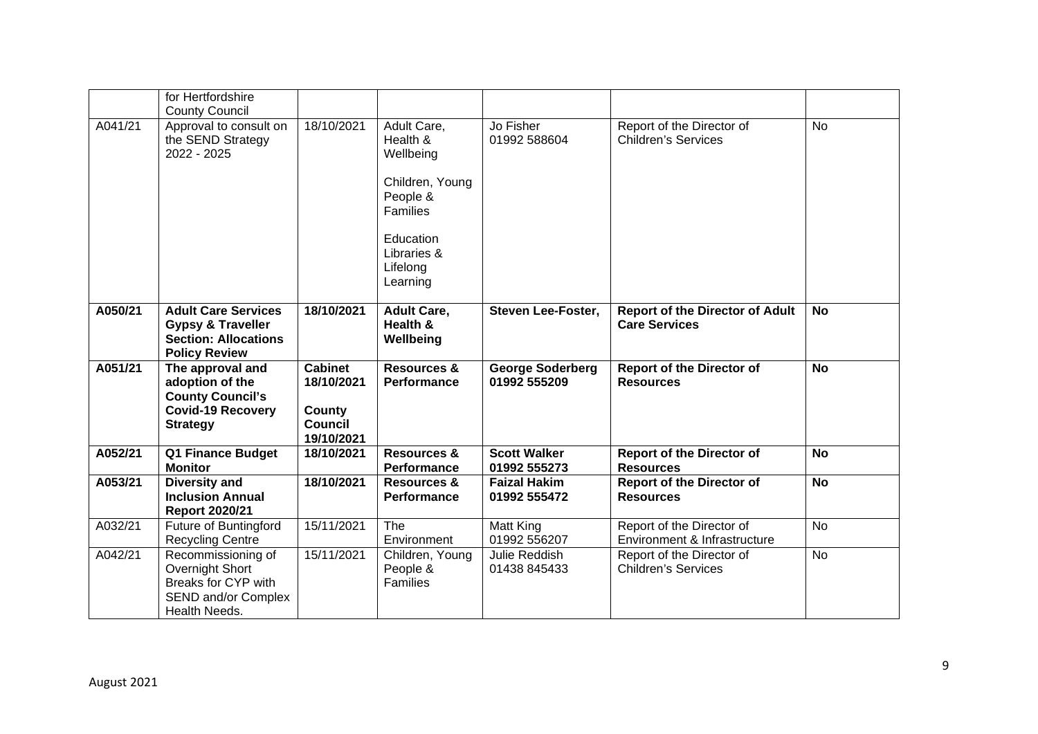|         | for Hertfordshire<br><b>County Council</b>                                                                        |                                                                        |                                                                                                                                            |                                         |                                                                |           |
|---------|-------------------------------------------------------------------------------------------------------------------|------------------------------------------------------------------------|--------------------------------------------------------------------------------------------------------------------------------------------|-----------------------------------------|----------------------------------------------------------------|-----------|
| A041/21 | Approval to consult on<br>the SEND Strategy<br>2022 - 2025                                                        | 18/10/2021                                                             | Adult Care,<br>Health &<br>Wellbeing<br>Children, Young<br>People &<br><b>Families</b><br>Education<br>Libraries &<br>Lifelong<br>Learning | Jo Fisher<br>01992 588604               | Report of the Director of<br><b>Children's Services</b>        | <b>No</b> |
| A050/21 | <b>Adult Care Services</b><br><b>Gypsy &amp; Traveller</b><br><b>Section: Allocations</b><br><b>Policy Review</b> | 18/10/2021                                                             | <b>Adult Care,</b><br>Health &<br>Wellbeing                                                                                                | <b>Steven Lee-Foster,</b>               | <b>Report of the Director of Adult</b><br><b>Care Services</b> | No        |
| A051/21 | The approval and<br>adoption of the<br><b>County Council's</b><br><b>Covid-19 Recovery</b><br><b>Strategy</b>     | <b>Cabinet</b><br>18/10/2021<br>County<br><b>Council</b><br>19/10/2021 | <b>Resources &amp;</b><br>Performance                                                                                                      | <b>George Soderberg</b><br>01992 555209 | <b>Report of the Director of</b><br><b>Resources</b>           | <b>No</b> |
| A052/21 | Q1 Finance Budget<br><b>Monitor</b>                                                                               | 18/10/2021                                                             | <b>Resources &amp;</b><br>Performance                                                                                                      | <b>Scott Walker</b><br>01992 555273     | <b>Report of the Director of</b><br><b>Resources</b>           | <b>No</b> |
| A053/21 | <b>Diversity and</b><br><b>Inclusion Annual</b><br><b>Report 2020/21</b>                                          | 18/10/2021                                                             | <b>Resources &amp;</b><br>Performance                                                                                                      | <b>Faizal Hakim</b><br>01992 555472     | <b>Report of the Director of</b><br><b>Resources</b>           | <b>No</b> |
| A032/21 | Future of Buntingford<br><b>Recycling Centre</b>                                                                  | 15/11/2021                                                             | The<br>Environment                                                                                                                         | Matt King<br>01992 556207               | Report of the Director of<br>Environment & Infrastructure      | <b>No</b> |
| A042/21 | Recommissioning of<br>Overnight Short<br>Breaks for CYP with<br>SEND and/or Complex<br>Health Needs.              | 15/11/2021                                                             | Children, Young<br>People &<br>Families                                                                                                    | Julie Reddish<br>01438 845433           | Report of the Director of<br><b>Children's Services</b>        | <b>No</b> |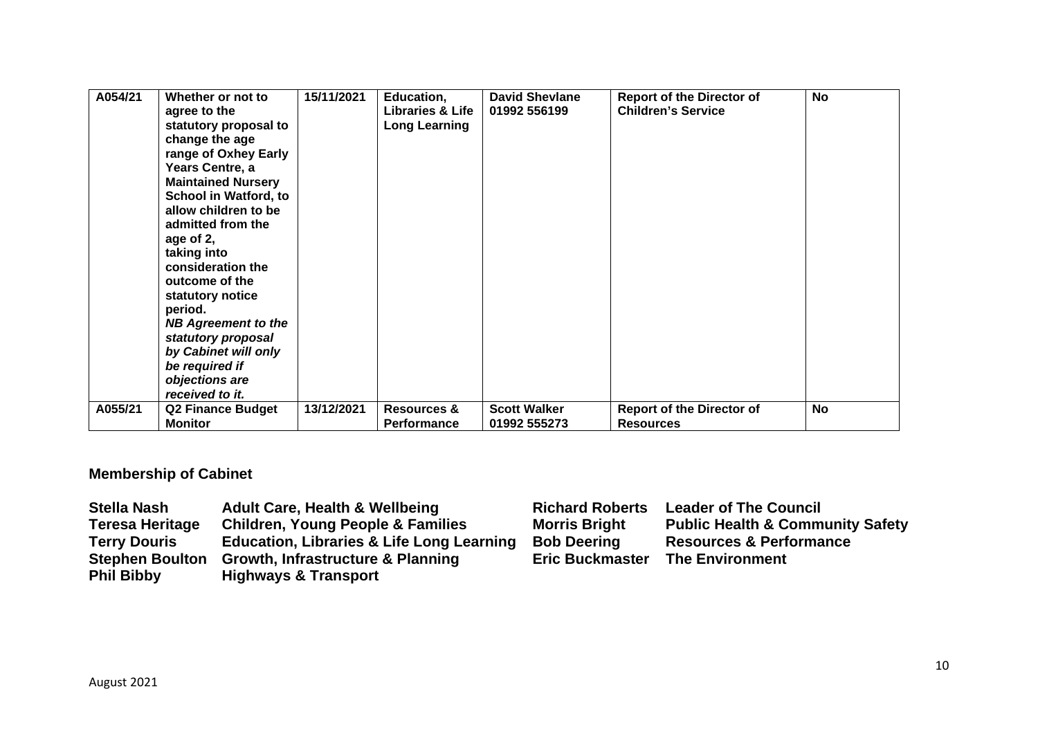| A054/21 | Whether or not to<br>agree to the<br>statutory proposal to<br>change the age<br>range of Oxhey Early<br>Years Centre, a<br><b>Maintained Nursery</b><br><b>School in Watford, to</b><br>allow children to be<br>admitted from the<br>age of 2,<br>taking into<br>consideration the<br>outcome of the<br>statutory notice<br>period.<br><b>NB Agreement to the</b><br>statutory proposal<br>by Cabinet will only<br>be required if<br>objections are<br>received to it. | 15/11/2021 | Education,<br><b>Libraries &amp; Life</b><br><b>Long Learning</b> | <b>David Shevlane</b><br>01992 556199 | <b>Report of the Director of</b><br><b>Children's Service</b> | <b>No</b> |
|---------|------------------------------------------------------------------------------------------------------------------------------------------------------------------------------------------------------------------------------------------------------------------------------------------------------------------------------------------------------------------------------------------------------------------------------------------------------------------------|------------|-------------------------------------------------------------------|---------------------------------------|---------------------------------------------------------------|-----------|
| A055/21 | <b>Q2 Finance Budget</b><br>Monitor                                                                                                                                                                                                                                                                                                                                                                                                                                    | 13/12/2021 | <b>Resources &amp;</b><br>Performance                             | <b>Scott Walker</b><br>01992 555273   | <b>Report of the Director of</b><br><b>Resources</b>          | No        |

# **Membership of Cabinet**

| <b>Stella Nash</b>     | <b>Adult Care, Health &amp; Wellbeing</b>            | <b>Richard Roberts</b> | <b>Leader of The Council</b>                |
|------------------------|------------------------------------------------------|------------------------|---------------------------------------------|
| <b>Teresa Heritage</b> | <b>Children, Young People &amp; Families</b>         | <b>Morris Bright</b>   | <b>Public Health &amp; Community Safety</b> |
| <b>Terry Douris</b>    | <b>Education, Libraries &amp; Life Long Learning</b> | <b>Bob Deering</b>     | <b>Resources &amp; Performance</b>          |
| <b>Stephen Boulton</b> | <b>Growth, Infrastructure &amp; Planning</b>         | <b>Eric Buckmaster</b> | <b>The Environment</b>                      |
| <b>Phil Bibby</b>      | <b>Highways &amp; Transport</b>                      |                        |                                             |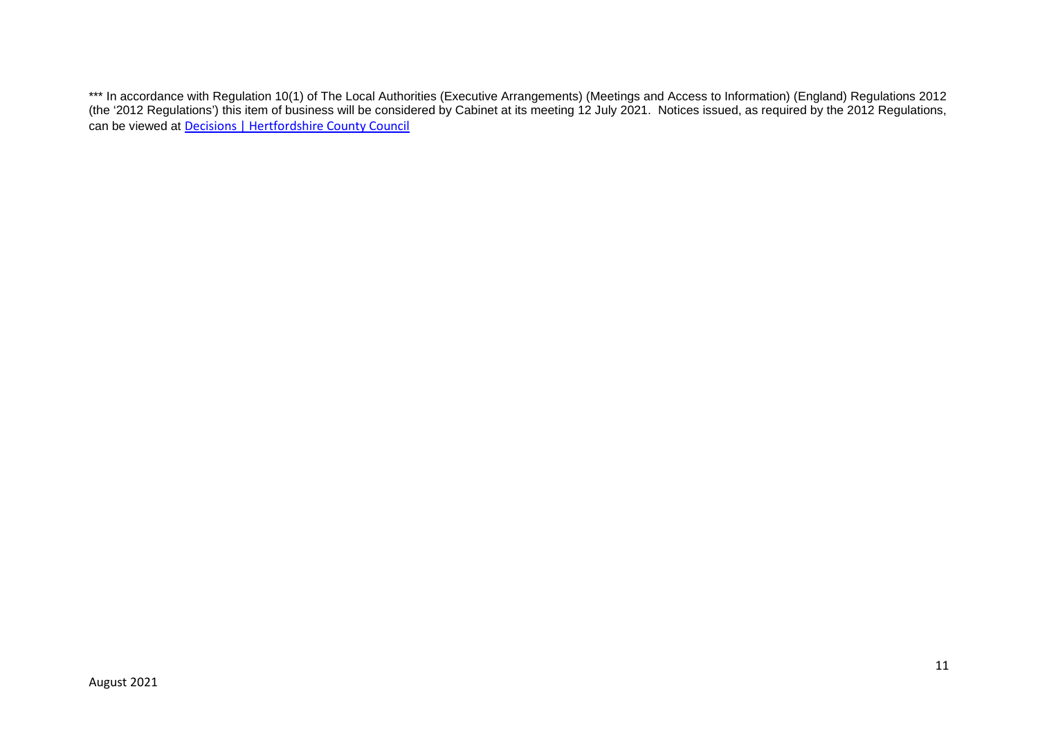\*\*\* In accordance with Regulation 10(1) of The Local Authorities (Executive Arrangements) (Meetings and Access to Information) (England) Regulations 2012 (the '2012 Regulations') this item of business will be considered by Cabinet at its meeting 12 July 2021. Notices issued, as required by the 2012 Regulations, can be viewed at Decisions | Hertfordshire County Council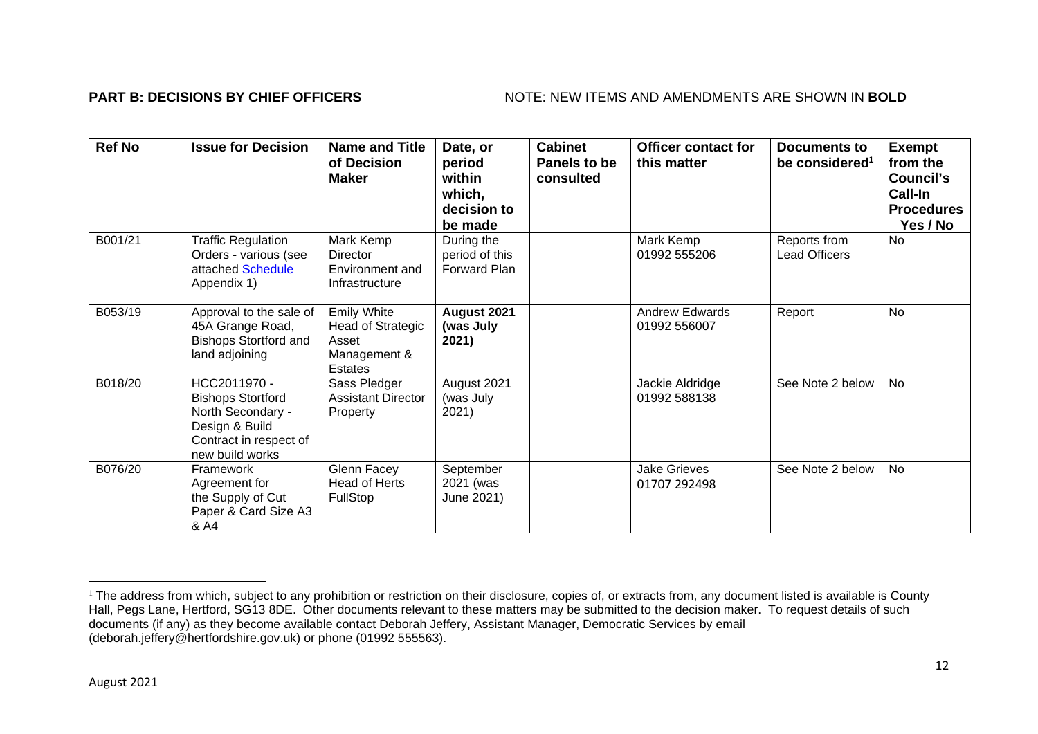## **PART B: DECISIONS BY CHIEF OFFICERS** NOTE: NEW ITEMS AND AMENDMENTS ARE SHOWN IN BOLD

| <b>Ref No</b> | <b>Issue for Decision</b>                                                                                                    | <b>Name and Title</b><br>of Decision<br><b>Maker</b>                               | Date, or<br>period<br>within<br>which,<br>decision to<br>be made | <b>Cabinet</b><br>Panels to be<br>consulted | <b>Officer contact for</b><br>this matter | Documents to<br>be considered <sup>1</sup> | <b>Exempt</b><br>from the<br>Council's<br>Call-In<br><b>Procedures</b><br>Yes / No |
|---------------|------------------------------------------------------------------------------------------------------------------------------|------------------------------------------------------------------------------------|------------------------------------------------------------------|---------------------------------------------|-------------------------------------------|--------------------------------------------|------------------------------------------------------------------------------------|
| B001/21       | <b>Traffic Regulation</b><br>Orders - various (see<br>attached Schedule<br>Appendix 1)                                       | Mark Kemp<br>Director<br>Environment and<br>Infrastructure                         | During the<br>period of this<br>Forward Plan                     |                                             | Mark Kemp<br>01992 555206                 | Reports from<br><b>Lead Officers</b>       | No                                                                                 |
| B053/19       | Approval to the sale of<br>45A Grange Road,<br><b>Bishops Stortford and</b><br>land adjoining                                | <b>Emily White</b><br><b>Head of Strategic</b><br>Asset<br>Management &<br>Estates | August 2021<br>(was July<br>2021)                                |                                             | <b>Andrew Edwards</b><br>01992 556007     | Report                                     | No                                                                                 |
| B018/20       | HCC2011970 -<br><b>Bishops Stortford</b><br>North Secondary -<br>Design & Build<br>Contract in respect of<br>new build works | Sass Pledger<br><b>Assistant Director</b><br>Property                              | August 2021<br>(was July<br>2021)                                |                                             | Jackie Aldridge<br>01992 588138           | See Note 2 below                           | No                                                                                 |
| B076/20       | Framework<br>Agreement for<br>the Supply of Cut<br>Paper & Card Size A3<br>& A4                                              | Glenn Facey<br>Head of Herts<br>FullStop                                           | September<br>2021 (was<br>June 2021)                             |                                             | <b>Jake Grieves</b><br>01707 292498       | See Note 2 below                           | <b>No</b>                                                                          |

<sup>&</sup>lt;sup>1</sup> The address from which, subject to any prohibition or restriction on their disclosure, copies of, or extracts from, any document listed is available is County Hall, Pegs Lane, Hertford, SG13 8DE. Other documents relevant to these matters may be submitted to the decision maker. To request details of such documents (if any) as they become available contact Deborah Jeffery, Assistant Manager, Democratic Services by email (deborah.jeffery@hertfordshire.gov.uk) or phone (01992 555563).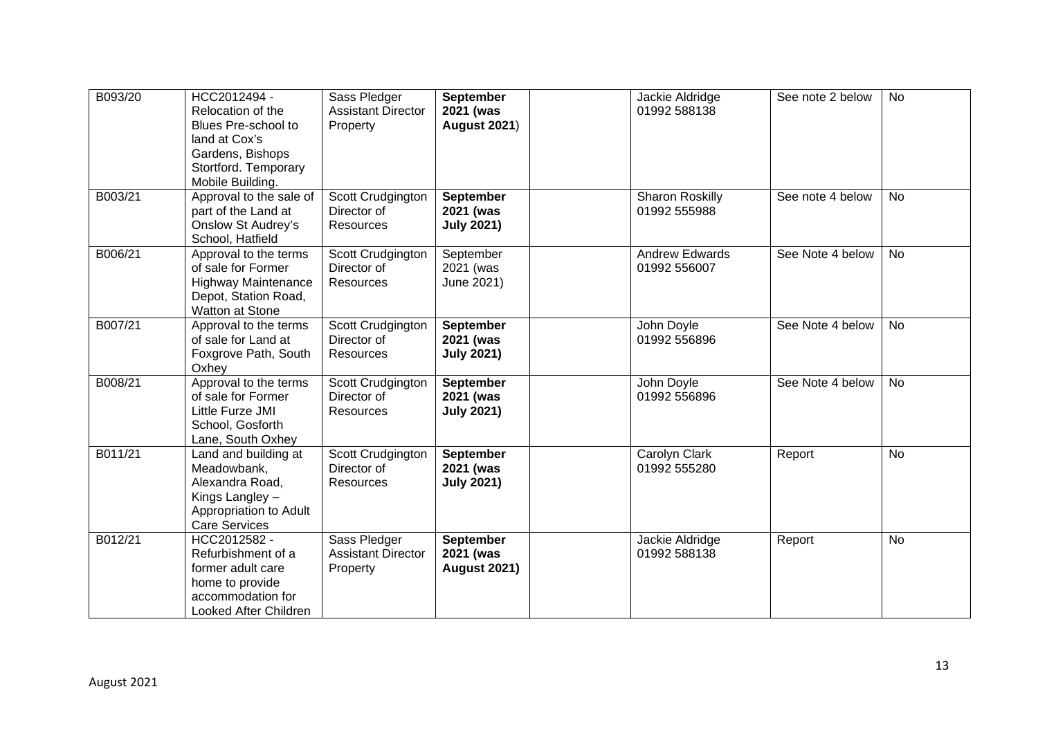| B093/20 | HCC2012494 -<br>Relocation of the<br>Blues Pre-school to<br>land at Cox's<br>Gardens, Bishops<br>Stortford. Temporary<br>Mobile Building. | Sass Pledger<br><b>Assistant Director</b><br>Property | <b>September</b><br>2021 (was<br><b>August 2021)</b> | Jackie Aldridge<br>01992 588138       | See note 2 below | <b>No</b> |
|---------|-------------------------------------------------------------------------------------------------------------------------------------------|-------------------------------------------------------|------------------------------------------------------|---------------------------------------|------------------|-----------|
| B003/21 | Approval to the sale of<br>part of the Land at<br><b>Onslow St Audrey's</b><br>School, Hatfield                                           | Scott Crudgington<br>Director of<br><b>Resources</b>  | <b>September</b><br>2021 (was<br><b>July 2021)</b>   | Sharon Roskilly<br>01992 555988       | See note 4 below | <b>No</b> |
| B006/21 | Approval to the terms<br>of sale for Former<br><b>Highway Maintenance</b><br>Depot, Station Road,<br>Watton at Stone                      | Scott Crudgington<br>Director of<br><b>Resources</b>  | September<br>2021 (was<br>June 2021)                 | <b>Andrew Edwards</b><br>01992 556007 | See Note 4 below | <b>No</b> |
| B007/21 | Approval to the terms<br>of sale for Land at<br>Foxgrove Path, South<br>Oxhey                                                             | Scott Crudgington<br>Director of<br><b>Resources</b>  | September<br>2021 (was<br><b>July 2021)</b>          | John Doyle<br>01992 556896            | See Note 4 below | No        |
| B008/21 | Approval to the terms<br>of sale for Former<br>Little Furze JMI<br>School, Gosforth<br>Lane, South Oxhey                                  | Scott Crudgington<br>Director of<br><b>Resources</b>  | <b>September</b><br>2021 (was<br><b>July 2021)</b>   | John Doyle<br>01992 556896            | See Note 4 below | <b>No</b> |
| B011/21 | Land and building at<br>Meadowbank,<br>Alexandra Road,<br>Kings Langley -<br>Appropriation to Adult<br><b>Care Services</b>               | Scott Crudgington<br>Director of<br><b>Resources</b>  | September<br>2021 (was<br><b>July 2021)</b>          | Carolyn Clark<br>01992 555280         | Report           | No        |
| B012/21 | HCC2012582 -<br>Refurbishment of a<br>former adult care<br>home to provide<br>accommodation for<br>Looked After Children                  | Sass Pledger<br><b>Assistant Director</b><br>Property | <b>September</b><br>2021 (was<br><b>August 2021)</b> | Jackie Aldridge<br>01992 588138       | Report           | <b>No</b> |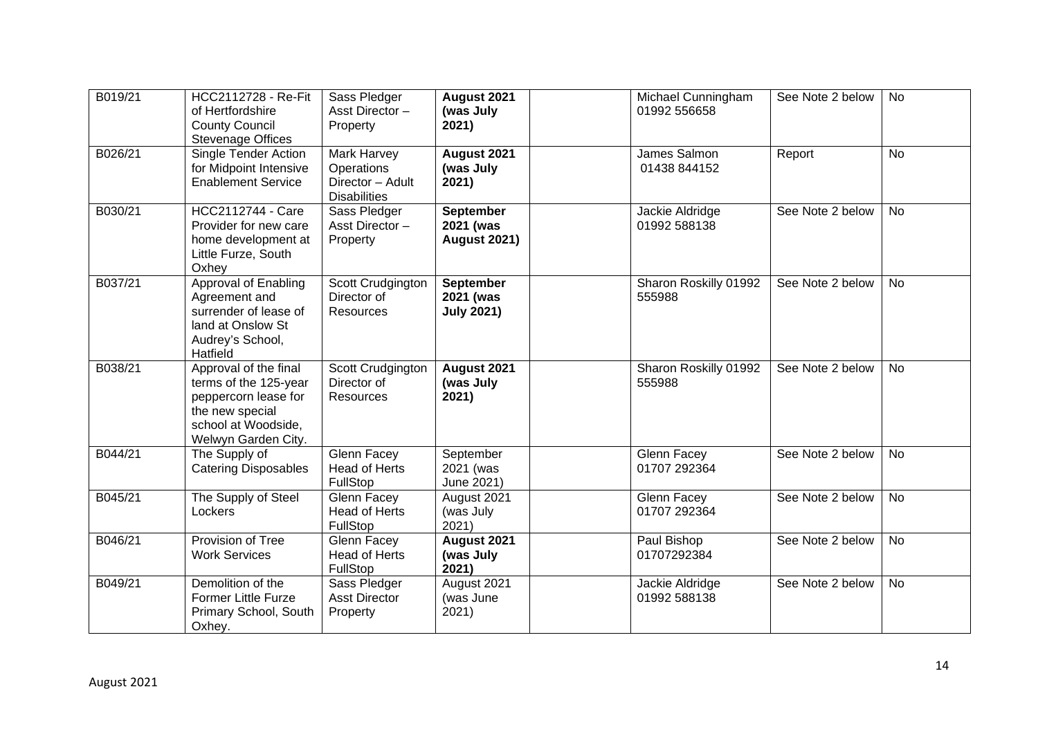| B019/21 | HCC2112728 - Re-Fit<br>of Hertfordshire<br><b>County Council</b><br><b>Stevenage Offices</b>                                            | Sass Pledger<br>Asst Director-<br>Property                           | August 2021<br>(was July<br>2021)                    | Michael Cunningham<br>01992 556658 | See Note 2 below | <b>No</b> |
|---------|-----------------------------------------------------------------------------------------------------------------------------------------|----------------------------------------------------------------------|------------------------------------------------------|------------------------------------|------------------|-----------|
| B026/21 | Single Tender Action<br>for Midpoint Intensive<br><b>Enablement Service</b>                                                             | Mark Harvey<br>Operations<br>Director - Adult<br><b>Disabilities</b> | August 2021<br>(was July<br>2021)                    | James Salmon<br>01438 844152       | Report           | <b>No</b> |
| B030/21 | <b>HCC2112744 - Care</b><br>Provider for new care<br>home development at<br>Little Furze, South<br>Oxhey                                | Sass Pledger<br>Asst Director-<br>Property                           | <b>September</b><br>2021 (was<br><b>August 2021)</b> | Jackie Aldridge<br>01992 588138    | See Note 2 below | <b>No</b> |
| B037/21 | Approval of Enabling<br>Agreement and<br>surrender of lease of<br>land at Onslow St<br>Audrey's School,<br>Hatfield                     | Scott Crudgington<br>Director of<br>Resources                        | <b>September</b><br>2021 (was<br><b>July 2021)</b>   | Sharon Roskilly 01992<br>555988    | See Note 2 below | <b>No</b> |
| B038/21 | Approval of the final<br>terms of the 125-year<br>peppercorn lease for<br>the new special<br>school at Woodside,<br>Welwyn Garden City. | Scott Crudgington<br>Director of<br><b>Resources</b>                 | August 2021<br>(was July<br>2021)                    | Sharon Roskilly 01992<br>555988    | See Note 2 below | No        |
| B044/21 | The Supply of<br><b>Catering Disposables</b>                                                                                            | Glenn Facey<br><b>Head of Herts</b><br>FullStop                      | September<br>2021 (was<br>June 2021)                 | Glenn Facey<br>01707 292364        | See Note 2 below | <b>No</b> |
| B045/21 | The Supply of Steel<br>Lockers                                                                                                          | <b>Glenn Facey</b><br><b>Head of Herts</b><br>FullStop               | August 2021<br>(was July<br>2021)                    | Glenn Facey<br>01707 292364        | See Note 2 below | <b>No</b> |
| B046/21 | Provision of Tree<br><b>Work Services</b>                                                                                               | <b>Glenn Facey</b><br><b>Head of Herts</b><br>FullStop               | August 2021<br>(was July<br>2021)                    | Paul Bishop<br>01707292384         | See Note 2 below | <b>No</b> |
| B049/21 | Demolition of the<br><b>Former Little Furze</b><br>Primary School, South<br>Oxhey.                                                      | Sass Pledger<br><b>Asst Director</b><br>Property                     | August 2021<br>(was June<br>2021)                    | Jackie Aldridge<br>01992 588138    | See Note 2 below | <b>No</b> |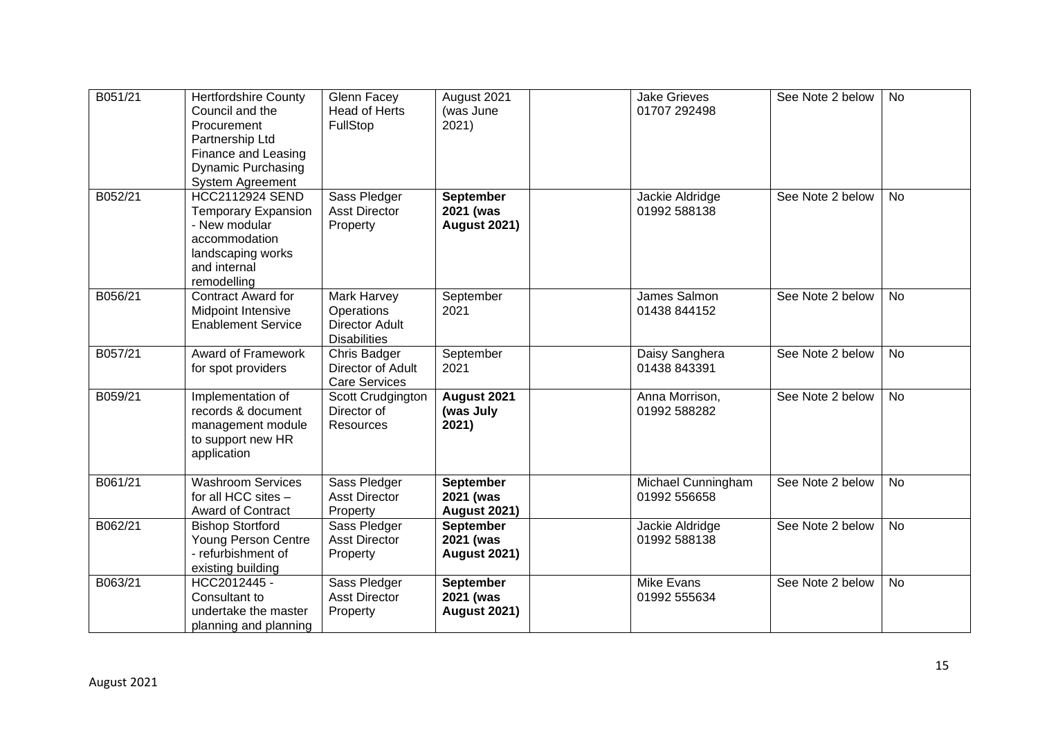| B051/21 | <b>Hertfordshire County</b><br>Council and the<br>Procurement<br>Partnership Ltd<br>Finance and Leasing<br><b>Dynamic Purchasing</b><br>System Agreement | Glenn Facey<br><b>Head of Herts</b><br>FullStop                           | August 2021<br>(was June<br>2021)                    | <b>Jake Grieves</b><br>01707 292498 | See Note 2 below | <b>No</b> |
|---------|----------------------------------------------------------------------------------------------------------------------------------------------------------|---------------------------------------------------------------------------|------------------------------------------------------|-------------------------------------|------------------|-----------|
| B052/21 | <b>HCC2112924 SEND</b><br><b>Temporary Expansion</b><br>- New modular<br>accommodation<br>landscaping works<br>and internal<br>remodelling               | Sass Pledger<br><b>Asst Director</b><br>Property                          | September<br>2021 (was<br><b>August 2021)</b>        | Jackie Aldridge<br>01992 588138     | See Note 2 below | <b>No</b> |
| B056/21 | Contract Award for<br>Midpoint Intensive<br><b>Enablement Service</b>                                                                                    | Mark Harvey<br>Operations<br><b>Director Adult</b><br><b>Disabilities</b> | September<br>2021                                    | James Salmon<br>01438 844152        | See Note 2 below | <b>No</b> |
| B057/21 | Award of Framework<br>for spot providers                                                                                                                 | Chris Badger<br>Director of Adult<br><b>Care Services</b>                 | September<br>2021                                    | Daisy Sanghera<br>01438 843391      | See Note 2 below | <b>No</b> |
| B059/21 | Implementation of<br>records & document<br>management module<br>to support new HR<br>application                                                         | Scott Crudgington<br>Director of<br><b>Resources</b>                      | August 2021<br>(was July<br>2021)                    | Anna Morrison,<br>01992 588282      | See Note 2 below | No        |
| B061/21 | <b>Washroom Services</b><br>for all HCC sites -<br>Award of Contract                                                                                     | Sass Pledger<br><b>Asst Director</b><br>Property                          | September<br>2021 (was<br><b>August 2021)</b>        | Michael Cunningham<br>01992 556658  | See Note 2 below | <b>No</b> |
| B062/21 | <b>Bishop Stortford</b><br><b>Young Person Centre</b><br>- refurbishment of<br>existing building                                                         | Sass Pledger<br><b>Asst Director</b><br>Property                          | September<br>2021 (was<br><b>August 2021)</b>        | Jackie Aldridge<br>01992 588138     | See Note 2 below | <b>No</b> |
| B063/21 | HCC2012445 -<br>Consultant to<br>undertake the master<br>planning and planning                                                                           | Sass Pledger<br><b>Asst Director</b><br>Property                          | <b>September</b><br>2021 (was<br><b>August 2021)</b> | <b>Mike Evans</b><br>01992 555634   | See Note 2 below | <b>No</b> |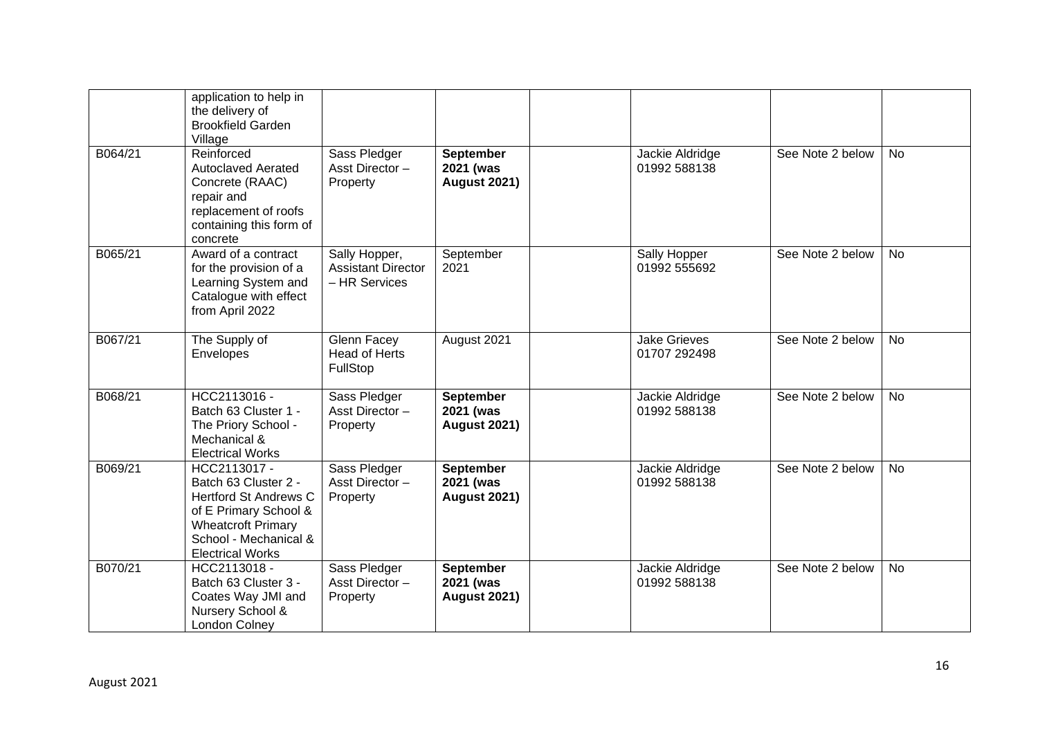|         | application to help in<br>the delivery of<br><b>Brookfield Garden</b><br>Village                                                                                               |                                                             |                                                      |                                     |                  |           |
|---------|--------------------------------------------------------------------------------------------------------------------------------------------------------------------------------|-------------------------------------------------------------|------------------------------------------------------|-------------------------------------|------------------|-----------|
| B064/21 | Reinforced<br><b>Autoclaved Aerated</b><br>Concrete (RAAC)<br>repair and<br>replacement of roofs<br>containing this form of<br>concrete                                        | Sass Pledger<br>Asst Director-<br>Property                  | <b>September</b><br>2021 (was<br><b>August 2021)</b> | Jackie Aldridge<br>01992 588138     | See Note 2 below | <b>No</b> |
| B065/21 | Award of a contract<br>for the provision of a<br>Learning System and<br>Catalogue with effect<br>from April 2022                                                               | Sally Hopper,<br><b>Assistant Director</b><br>- HR Services | September<br>2021                                    | Sally Hopper<br>01992 555692        | See Note 2 below | <b>No</b> |
| B067/21 | The Supply of<br>Envelopes                                                                                                                                                     | Glenn Facey<br>Head of Herts<br>FullStop                    | August 2021                                          | <b>Jake Grieves</b><br>01707 292498 | See Note 2 below | <b>No</b> |
| B068/21 | HCC2113016 -<br>Batch 63 Cluster 1 -<br>The Priory School -<br>Mechanical &<br><b>Electrical Works</b>                                                                         | Sass Pledger<br>Asst Director-<br>Property                  | <b>September</b><br>2021 (was<br><b>August 2021)</b> | Jackie Aldridge<br>01992 588138     | See Note 2 below | No        |
| B069/21 | HCC2113017 -<br>Batch 63 Cluster 2 -<br><b>Hertford St Andrews C</b><br>of E Primary School &<br><b>Wheatcroft Primary</b><br>School - Mechanical &<br><b>Electrical Works</b> | Sass Pledger<br>Asst Director-<br>Property                  | <b>September</b><br>2021 (was<br><b>August 2021)</b> | Jackie Aldridge<br>01992 588138     | See Note 2 below | <b>No</b> |
| B070/21 | HCC2113018 -<br>Batch 63 Cluster 3 -<br>Coates Way JMI and<br>Nursery School &<br><b>London Colney</b>                                                                         | Sass Pledger<br>Asst Director-<br>Property                  | <b>September</b><br>2021 (was<br><b>August 2021)</b> | Jackie Aldridge<br>01992 588138     | See Note 2 below | <b>No</b> |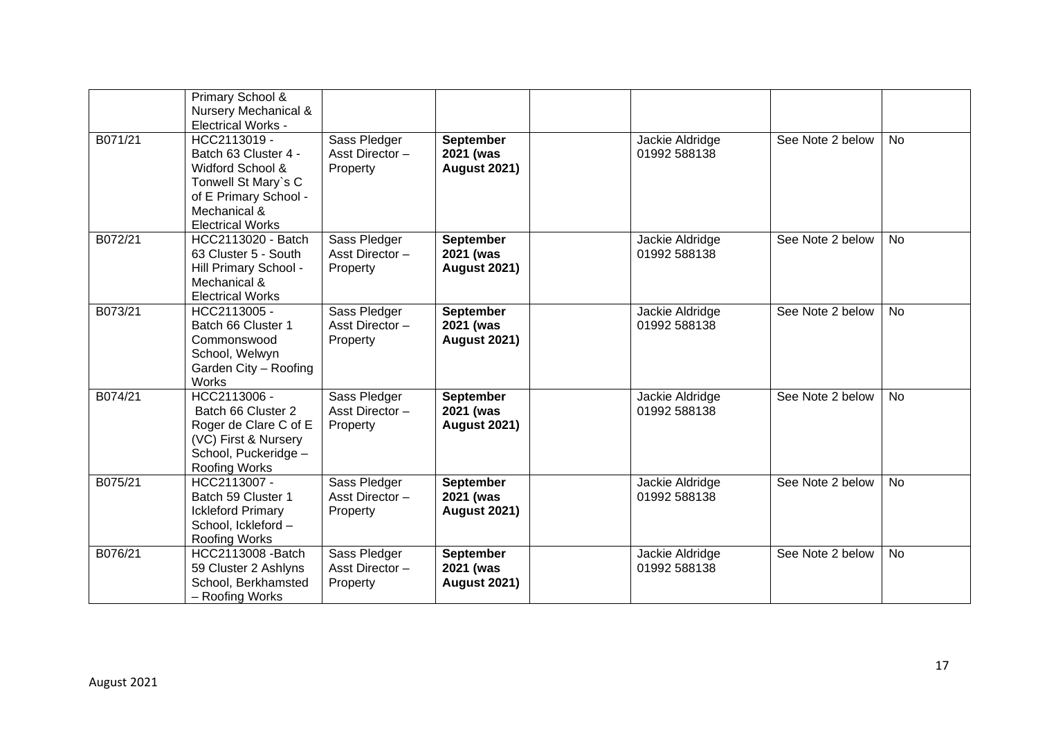|         | Primary School &<br>Nursery Mechanical &<br><b>Electrical Works -</b>                                                                               |                                            |                                                      |                                 |                  |           |
|---------|-----------------------------------------------------------------------------------------------------------------------------------------------------|--------------------------------------------|------------------------------------------------------|---------------------------------|------------------|-----------|
| B071/21 | HCC2113019 -<br>Batch 63 Cluster 4 -<br>Widford School &<br>Tonwell St Mary's C<br>of E Primary School -<br>Mechanical &<br><b>Electrical Works</b> | Sass Pledger<br>Asst Director-<br>Property | <b>September</b><br>2021 (was<br><b>August 2021)</b> | Jackie Aldridge<br>01992 588138 | See Note 2 below | <b>No</b> |
| B072/21 | HCC2113020 - Batch<br>63 Cluster 5 - South<br>Hill Primary School -<br>Mechanical &<br><b>Electrical Works</b>                                      | Sass Pledger<br>Asst Director-<br>Property | <b>September</b><br>2021 (was<br><b>August 2021)</b> | Jackie Aldridge<br>01992 588138 | See Note 2 below | <b>No</b> |
| B073/21 | HCC2113005 -<br>Batch 66 Cluster 1<br>Commonswood<br>School, Welwyn<br>Garden City - Roofing<br>Works                                               | Sass Pledger<br>Asst Director-<br>Property | <b>September</b><br>2021 (was<br><b>August 2021)</b> | Jackie Aldridge<br>01992 588138 | See Note 2 below | <b>No</b> |
| B074/21 | HCC2113006 -<br>Batch 66 Cluster 2<br>Roger de Clare C of E<br>(VC) First & Nursery<br>School, Puckeridge -<br>Roofing Works                        | Sass Pledger<br>Asst Director-<br>Property | <b>September</b><br>2021 (was<br><b>August 2021)</b> | Jackie Aldridge<br>01992 588138 | See Note 2 below | <b>No</b> |
| B075/21 | HCC2113007 -<br>Batch 59 Cluster 1<br><b>Ickleford Primary</b><br>School, Ickleford-<br><b>Roofing Works</b>                                        | Sass Pledger<br>Asst Director-<br>Property | <b>September</b><br>2021 (was<br><b>August 2021)</b> | Jackie Aldridge<br>01992 588138 | See Note 2 below | <b>No</b> |
| B076/21 | HCC2113008 - Batch<br>59 Cluster 2 Ashlyns<br>School, Berkhamsted<br>- Roofing Works                                                                | Sass Pledger<br>Asst Director-<br>Property | <b>September</b><br>2021 (was<br><b>August 2021)</b> | Jackie Aldridge<br>01992 588138 | See Note 2 below | No        |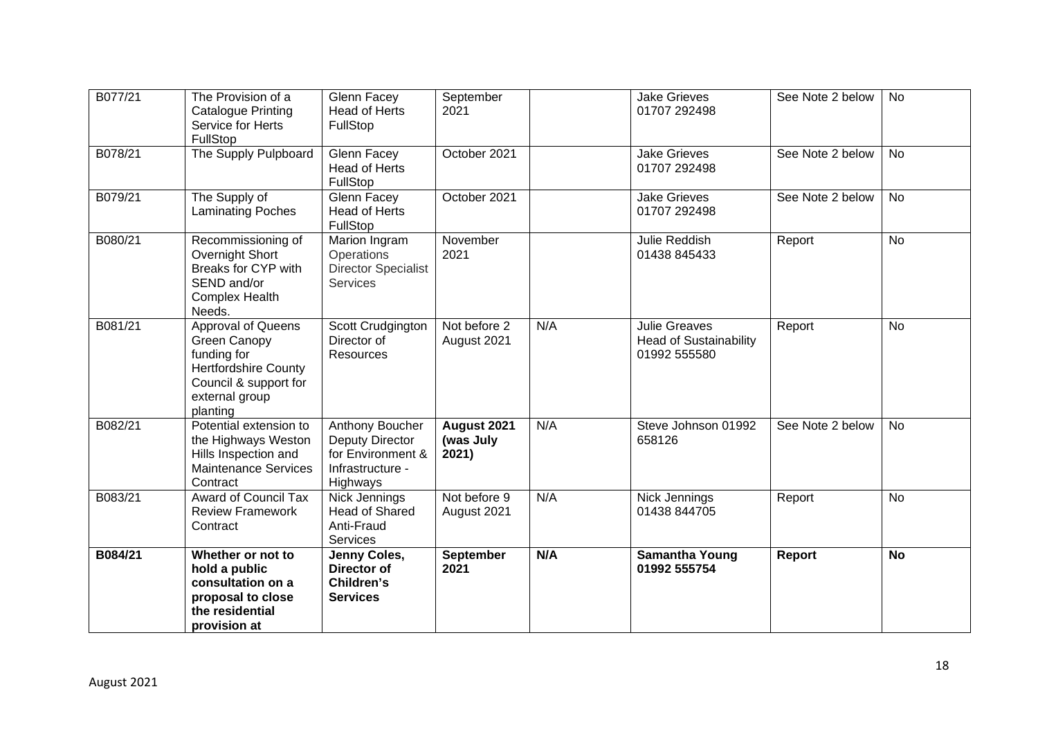| B077/21 | The Provision of a<br>Catalogue Printing<br>Service for Herts<br>FullStop                                                               | Glenn Facey<br><b>Head of Herts</b><br>FullStop                                         | September<br>2021                 |     | <b>Jake Grieves</b><br>01707 292498                                   | See Note 2 below | <b>No</b> |
|---------|-----------------------------------------------------------------------------------------------------------------------------------------|-----------------------------------------------------------------------------------------|-----------------------------------|-----|-----------------------------------------------------------------------|------------------|-----------|
| B078/21 | The Supply Pulpboard                                                                                                                    | Glenn Facey<br><b>Head of Herts</b><br>FullStop                                         | October 2021                      |     | <b>Jake Grieves</b><br>01707 292498                                   | See Note 2 below | <b>No</b> |
| B079/21 | The Supply of<br><b>Laminating Poches</b>                                                                                               | Glenn Facey<br><b>Head of Herts</b><br>FullStop                                         | October 2021                      |     | <b>Jake Grieves</b><br>01707 292498                                   | See Note 2 below | <b>No</b> |
| B080/21 | Recommissioning of<br>Overnight Short<br>Breaks for CYP with<br>SEND and/or<br><b>Complex Health</b><br>Needs.                          | Marion Ingram<br>Operations<br><b>Director Specialist</b><br><b>Services</b>            | November<br>2021                  |     | <b>Julie Reddish</b><br>01438 845433                                  | Report           | <b>No</b> |
| B081/21 | Approval of Queens<br>Green Canopy<br>funding for<br><b>Hertfordshire County</b><br>Council & support for<br>external group<br>planting | Scott Crudgington<br>Director of<br><b>Resources</b>                                    | Not before 2<br>August 2021       | N/A | <b>Julie Greaves</b><br><b>Head of Sustainability</b><br>01992 555580 | Report           | <b>No</b> |
| B082/21 | Potential extension to<br>the Highways Weston<br>Hills Inspection and<br><b>Maintenance Services</b><br>Contract                        | Anthony Boucher<br>Deputy Director<br>for Environment &<br>Infrastructure -<br>Highways | August 2021<br>(was July<br>2021) | N/A | Steve Johnson 01992<br>658126                                         | See Note 2 below | <b>No</b> |
| B083/21 | <b>Award of Council Tax</b><br><b>Review Framework</b><br>Contract                                                                      | Nick Jennings<br><b>Head of Shared</b><br>Anti-Fraud<br><b>Services</b>                 | Not before 9<br>August 2021       | N/A | Nick Jennings<br>01438 844705                                         | Report           | <b>No</b> |
| B084/21 | Whether or not to<br>hold a public<br>consultation on a<br>proposal to close<br>the residential<br>provision at                         | Jenny Coles,<br>Director of<br>Children's<br><b>Services</b>                            | <b>September</b><br>2021          | N/A | <b>Samantha Young</b><br>01992 555754                                 | Report           | <b>No</b> |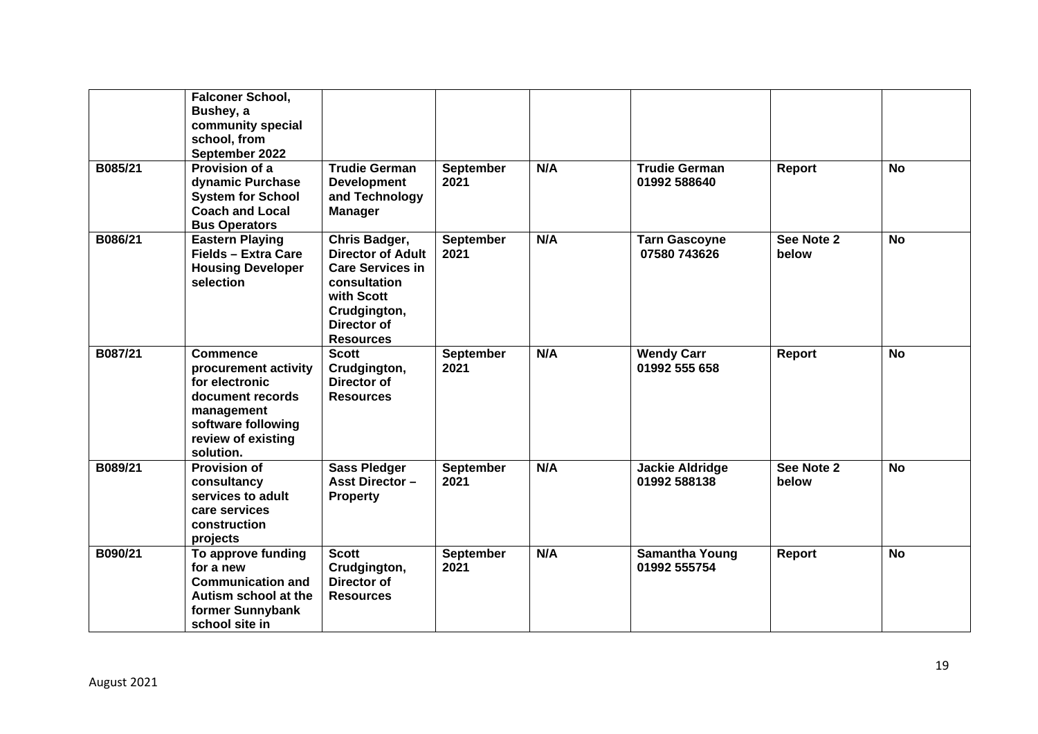|         | <b>Falconer School,</b><br>Bushey, a<br>community special<br>school, from<br>September 2022                                                          |                                                                                                                                                       |                          |     |                                        |                     |           |
|---------|------------------------------------------------------------------------------------------------------------------------------------------------------|-------------------------------------------------------------------------------------------------------------------------------------------------------|--------------------------|-----|----------------------------------------|---------------------|-----------|
| B085/21 | Provision of a<br>dynamic Purchase<br><b>System for School</b><br><b>Coach and Local</b><br><b>Bus Operators</b>                                     | <b>Trudie German</b><br><b>Development</b><br>and Technology<br><b>Manager</b>                                                                        | September<br>2021        | N/A | <b>Trudie German</b><br>01992 588640   | Report              | <b>No</b> |
| B086/21 | <b>Eastern Playing</b><br>Fields - Extra Care<br><b>Housing Developer</b><br>selection                                                               | Chris Badger,<br><b>Director of Adult</b><br><b>Care Services in</b><br>consultation<br>with Scott<br>Crudgington,<br>Director of<br><b>Resources</b> | September<br>2021        | N/A | <b>Tarn Gascoyne</b><br>07580 743626   | See Note 2<br>below | <b>No</b> |
| B087/21 | <b>Commence</b><br>procurement activity<br>for electronic<br>document records<br>management<br>software following<br>review of existing<br>solution. | <b>Scott</b><br>Crudgington,<br>Director of<br><b>Resources</b>                                                                                       | September<br>2021        | N/A | <b>Wendy Carr</b><br>01992 555 658     | Report              | <b>No</b> |
| B089/21 | <b>Provision of</b><br>consultancy<br>services to adult<br>care services<br>construction<br>projects                                                 | <b>Sass Pledger</b><br><b>Asst Director -</b><br><b>Property</b>                                                                                      | <b>September</b><br>2021 | N/A | <b>Jackie Aldridge</b><br>01992 588138 | See Note 2<br>below | <b>No</b> |
| B090/21 | To approve funding<br>for a new<br><b>Communication and</b><br>Autism school at the<br>former Sunnybank<br>school site in                            | <b>Scott</b><br>Crudgington,<br>Director of<br><b>Resources</b>                                                                                       | <b>September</b><br>2021 | N/A | <b>Samantha Young</b><br>01992 555754  | Report              | <b>No</b> |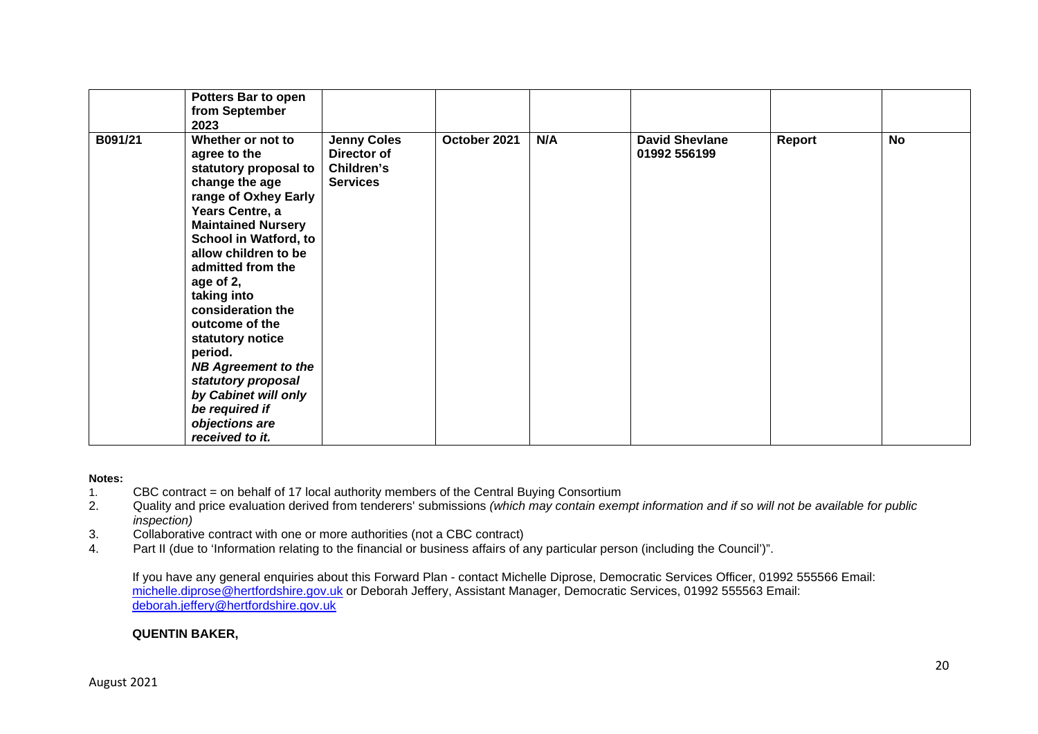|         | Potters Bar to open<br>from September<br>2023                                                                                                                                                                                                                                                                                                                                                                                                                          |                                                                    |              |     |                                       |        |           |
|---------|------------------------------------------------------------------------------------------------------------------------------------------------------------------------------------------------------------------------------------------------------------------------------------------------------------------------------------------------------------------------------------------------------------------------------------------------------------------------|--------------------------------------------------------------------|--------------|-----|---------------------------------------|--------|-----------|
| B091/21 | Whether or not to<br>agree to the<br>statutory proposal to<br>change the age<br>range of Oxhey Early<br>Years Centre, a<br><b>Maintained Nursery</b><br><b>School in Watford, to</b><br>allow children to be<br>admitted from the<br>age of 2,<br>taking into<br>consideration the<br>outcome of the<br>statutory notice<br>period.<br><b>NB Agreement to the</b><br>statutory proposal<br>by Cabinet will only<br>be required if<br>objections are<br>received to it. | <b>Jenny Coles</b><br>Director of<br>Children's<br><b>Services</b> | October 2021 | N/A | <b>David Shevlane</b><br>01992 556199 | Report | <b>No</b> |

#### **Notes:**

- 1. CBC contract = on behalf of 17 local authority members of the Central Buying Consortium
- 2. Quality and price evaluation derived from tenderers' submissions *(which may contain exempt information and if so will not be available for public inspection)*
- 3. Collaborative contract with one or more authorities (not a CBC contract)
- 4. Part II (due to 'Information relating to the financial or business affairs of any particular person (including the Council')".

If you have any general enquiries about this Forward Plan - contact Michelle Diprose, Democratic Services Officer, 01992 555566 Email: michelle.diprose@hertfordshire.gov.uk or Deborah Jeffery, Assistant Manager, Democratic Services, 01992 555563 Email: deborah.jeffery@hertfordshire.gov.uk

### **QUENTIN BAKER,**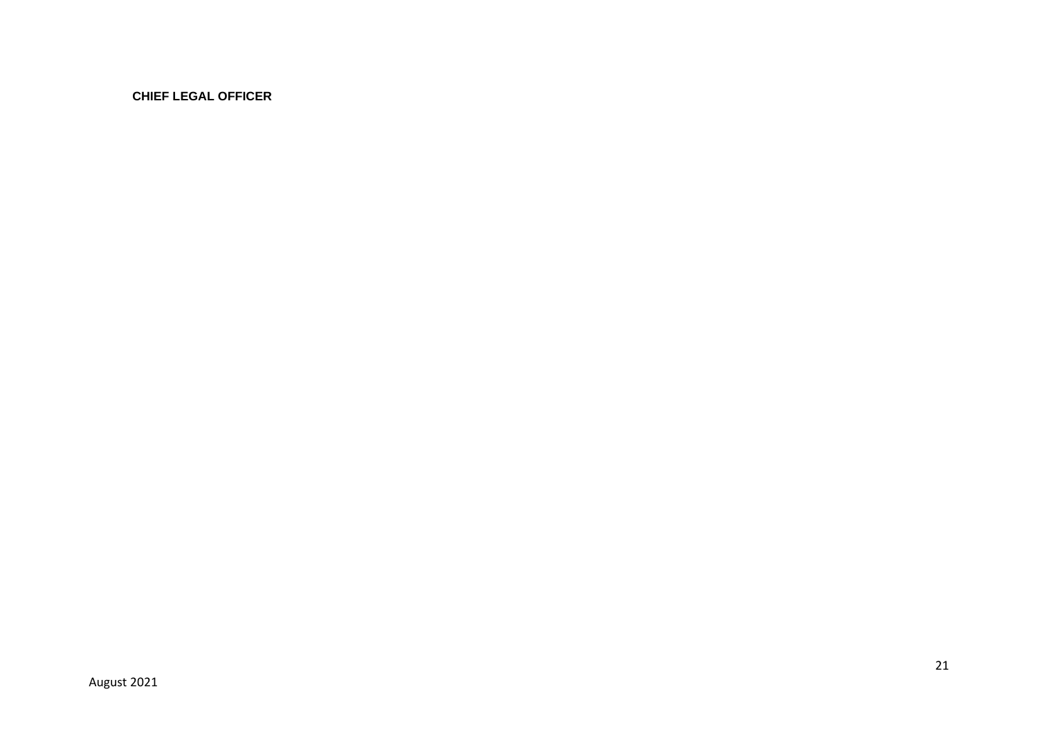**CHIEF LEGAL OFFICER**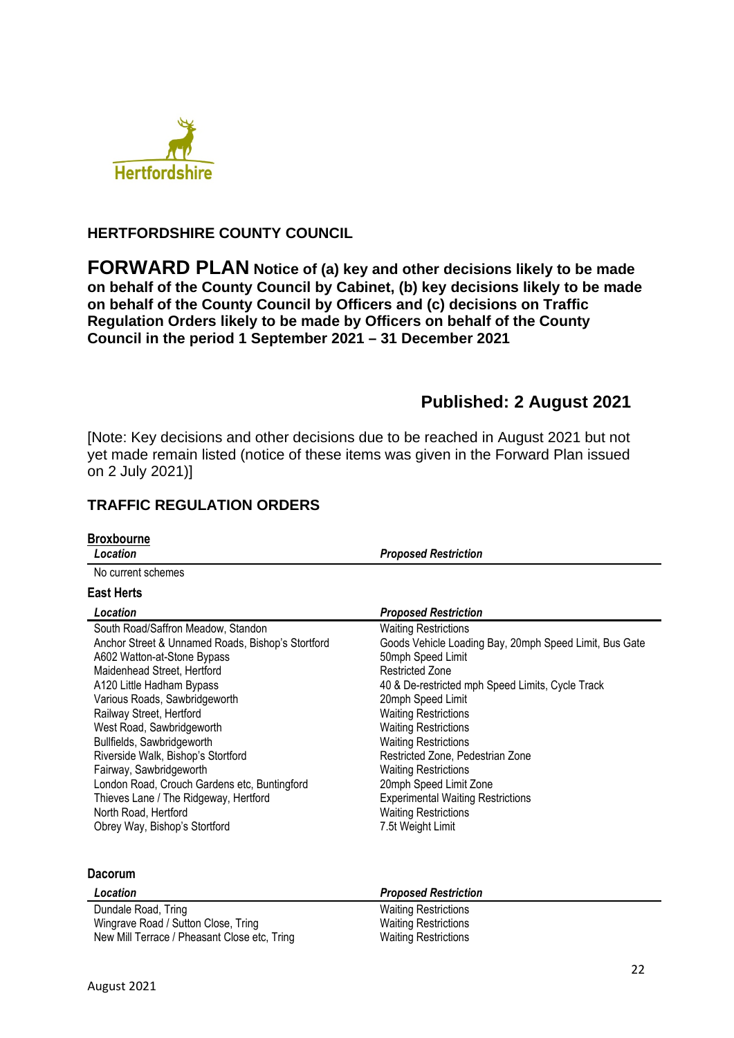

## **HERTFORDSHIRE COUNTY COUNCIL**

**FORWARD PLAN Notice of (a) key and other decisions likely to be made on behalf of the County Council by Cabinet, (b) key decisions likely to be made on behalf of the County Council by Officers and (c) decisions on Traffic Regulation Orders likely to be made by Officers on behalf of the County Council in the period 1 September 2021 – 31 December 2021** 

# **Published: 2 August 2021**

[Note: Key decisions and other decisions due to be reached in August 2021 but not yet made remain listed (notice of these items was given in the Forward Plan issued on 2 July 2021)]

# **TRAFFIC REGULATION ORDERS**

| <b>Broxbourne</b><br>Location                                                                                                                                                                                                                                                                              | <b>Proposed Restriction</b>                                                                                                                                                                                                                                                                                |
|------------------------------------------------------------------------------------------------------------------------------------------------------------------------------------------------------------------------------------------------------------------------------------------------------------|------------------------------------------------------------------------------------------------------------------------------------------------------------------------------------------------------------------------------------------------------------------------------------------------------------|
| No current schemes                                                                                                                                                                                                                                                                                         |                                                                                                                                                                                                                                                                                                            |
| <b>East Herts</b>                                                                                                                                                                                                                                                                                          |                                                                                                                                                                                                                                                                                                            |
| Location                                                                                                                                                                                                                                                                                                   | <b>Proposed Restriction</b>                                                                                                                                                                                                                                                                                |
| South Road/Saffron Meadow, Standon<br>Anchor Street & Unnamed Roads, Bishop's Stortford<br>A602 Watton-at-Stone Bypass<br>Maidenhead Street, Hertford<br>A120 Little Hadham Bypass<br>Various Roads, Sawbridgeworth<br>Railway Street, Hertford<br>West Road, Sawbridgeworth<br>Bullfields, Sawbridgeworth | <b>Waiting Restrictions</b><br>Goods Vehicle Loading Bay, 20mph Speed Limit, Bus Gate<br>50mph Speed Limit<br><b>Restricted Zone</b><br>40 & De-restricted mph Speed Limits, Cycle Track<br>20mph Speed Limit<br><b>Waiting Restrictions</b><br><b>Waiting Restrictions</b><br><b>Waiting Restrictions</b> |
| Riverside Walk, Bishop's Stortford<br>Fairway, Sawbridgeworth<br>London Road, Crouch Gardens etc, Buntingford<br>Thieves Lane / The Ridgeway, Hertford<br>North Road, Hertford<br>Obrey Way, Bishop's Stortford                                                                                            | Restricted Zone, Pedestrian Zone<br><b>Waiting Restrictions</b><br>20mph Speed Limit Zone<br><b>Experimental Waiting Restrictions</b><br><b>Waiting Restrictions</b><br>7.5t Weight Limit                                                                                                                  |

## **Dacorum**

| Location                                     | <b>Proposed Restriction</b> |  |
|----------------------------------------------|-----------------------------|--|
| Dundale Road, Tring                          | <b>Waiting Restrictions</b> |  |
| Wingrave Road / Sutton Close, Tring          | Waiting Restrictions        |  |
| New Mill Terrace / Pheasant Close etc, Tring | <b>Waiting Restrictions</b> |  |